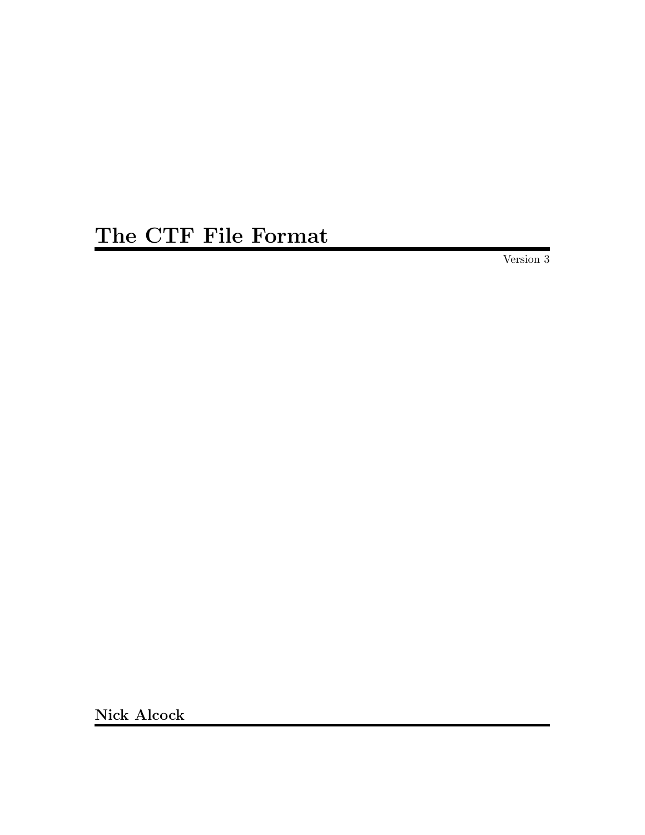# The CTF File Format

Version 3

Nick Alcock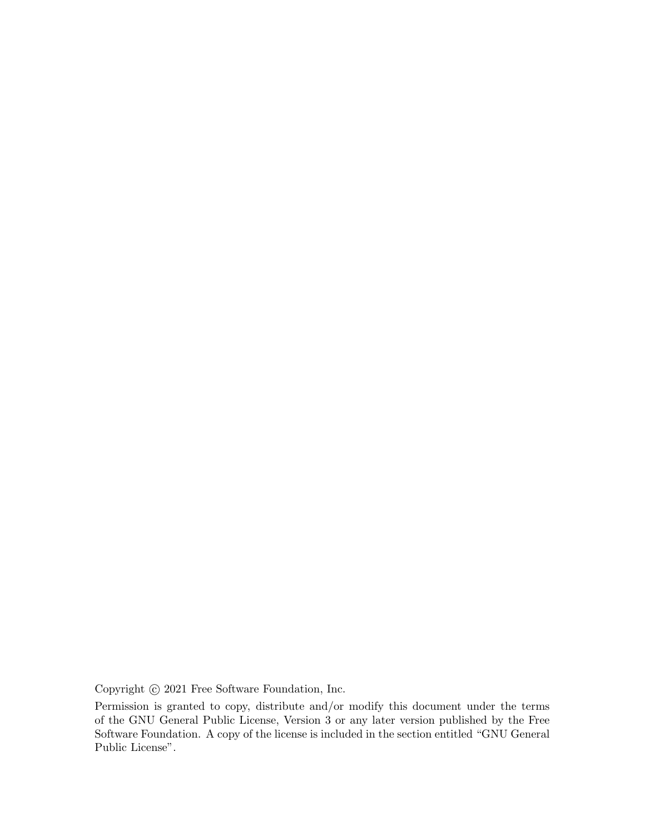Copyright  $\odot$  2021 Free Software Foundation, Inc.

Permission is granted to copy, distribute and/or modify this document under the terms of the GNU General Public License, Version 3 or any later version published by the Free Software Foundation. A copy of the license is included in the section entitled "GNU General Public License".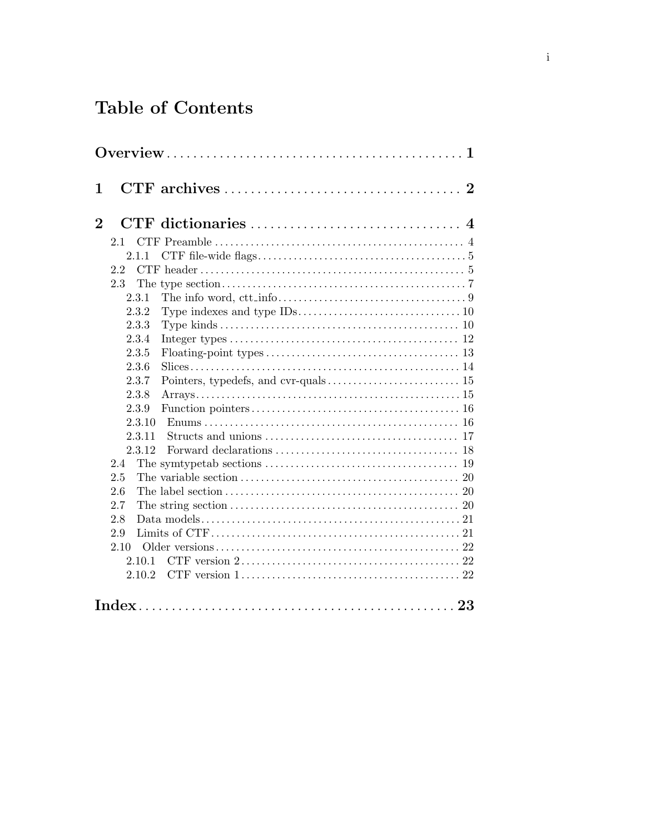## Table of Contents

| 1              |            |                                                                                             |
|----------------|------------|---------------------------------------------------------------------------------------------|
| 1              |            |                                                                                             |
| $\overline{2}$ |            |                                                                                             |
|                | 2.1        |                                                                                             |
|                | 2.1.1      |                                                                                             |
|                | 2.2        |                                                                                             |
|                | 2.3        |                                                                                             |
|                | 2.3.1      |                                                                                             |
|                | 2.3.2      |                                                                                             |
|                | 2.3.3      |                                                                                             |
|                | 2.3.4      |                                                                                             |
|                | 2.3.5      |                                                                                             |
|                | 2.3.6      |                                                                                             |
|                | 2.3.7      |                                                                                             |
|                | 2.3.8      |                                                                                             |
|                | 2.3.9      |                                                                                             |
|                | 2.3.10     |                                                                                             |
|                | 2.3.11     |                                                                                             |
|                | 2.3.12     |                                                                                             |
|                | 2.4        |                                                                                             |
|                | 2.5<br>2.6 |                                                                                             |
|                | 2.7        |                                                                                             |
|                | 2.8        |                                                                                             |
|                | 2.9        |                                                                                             |
|                | 2.10       |                                                                                             |
|                | 2.10.1     |                                                                                             |
|                | 2.10.2     | CTF version $1, \ldots, \ldots, \ldots, \ldots, \ldots, \ldots, \ldots, \ldots, \ldots, 22$ |
|                |            |                                                                                             |
|                |            |                                                                                             |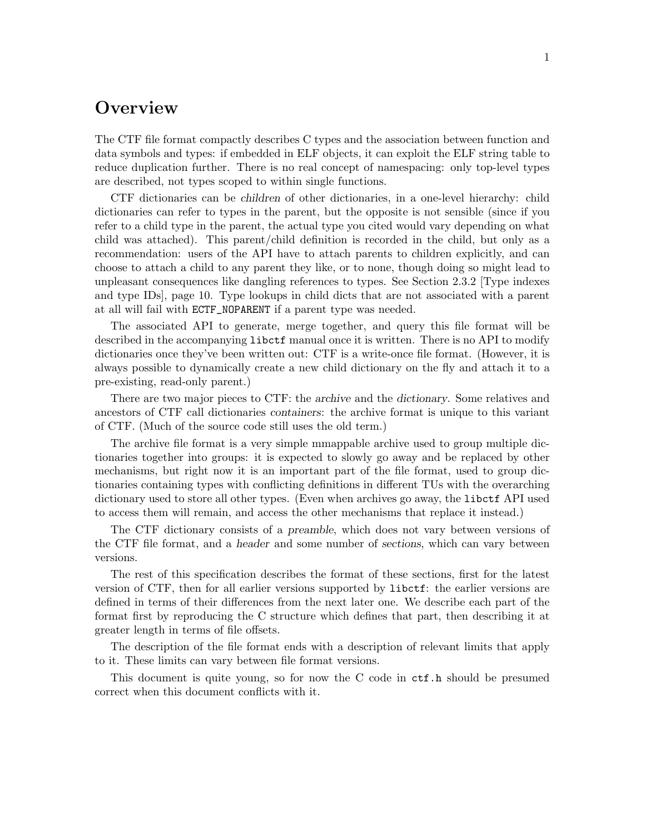### <span id="page-3-0"></span>**Overview**

The CTF file format compactly describes C types and the association between function and data symbols and types: if embedded in ELF objects, it can exploit the ELF string table to reduce duplication further. There is no real concept of namespacing: only top-level types are described, not types scoped to within single functions.

CTF dictionaries can be children of other dictionaries, in a one-level hierarchy: child dictionaries can refer to types in the parent, but the opposite is not sensible (since if you refer to a child type in the parent, the actual type you cited would vary depending on what child was attached). This parent/child definition is recorded in the child, but only as a recommendation: users of the API have to attach parents to children explicitly, and can choose to attach a child to any parent they like, or to none, though doing so might lead to unpleasant consequences like dangling references to types. See [Section 2.3.2 \[Type indexes](#page-12-0) [and type IDs\], page 10](#page-12-0). Type lookups in child dicts that are not associated with a parent at all will fail with ECTF\_NOPARENT if a parent type was needed.

The associated API to generate, merge together, and query this file format will be described in the accompanying libctf manual once it is written. There is no API to modify dictionaries once they've been written out: CTF is a write-once file format. (However, it is always possible to dynamically create a new child dictionary on the fly and attach it to a pre-existing, read-only parent.)

There are two major pieces to CTF: the archive and the dictionary. Some relatives and ancestors of CTF call dictionaries containers: the archive format is unique to this variant of CTF. (Much of the source code still uses the old term.)

The archive file format is a very simple mmappable archive used to group multiple dictionaries together into groups: it is expected to slowly go away and be replaced by other mechanisms, but right now it is an important part of the file format, used to group dictionaries containing types with conflicting definitions in different TUs with the overarching dictionary used to store all other types. (Even when archives go away, the libctf API used to access them will remain, and access the other mechanisms that replace it instead.)

The CTF dictionary consists of a preamble, which does not vary between versions of the CTF file format, and a header and some number of sections, which can vary between versions.

The rest of this specification describes the format of these sections, first for the latest version of CTF, then for all earlier versions supported by libctf: the earlier versions are defined in terms of their differences from the next later one. We describe each part of the format first by reproducing the C structure which defines that part, then describing it at greater length in terms of file offsets.

The description of the file format ends with a description of relevant limits that apply to it. These limits can vary between file format versions.

This document is quite young, so for now the C code in ctf.h should be presumed correct when this document conflicts with it.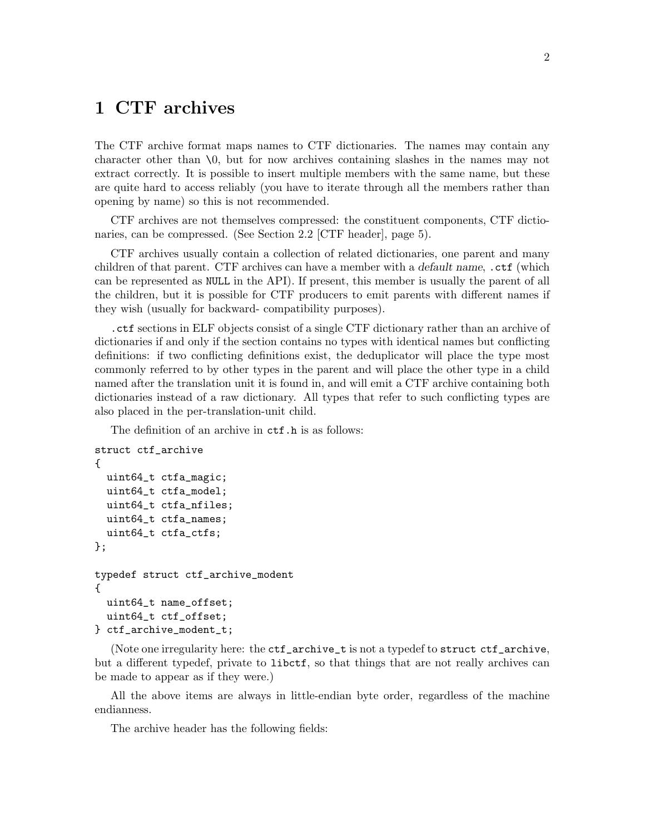### <span id="page-4-0"></span>1 CTF archives

The CTF archive format maps names to CTF dictionaries. The names may contain any character other than \0, but for now archives containing slashes in the names may not extract correctly. It is possible to insert multiple members with the same name, but these are quite hard to access reliably (you have to iterate through all the members rather than opening by name) so this is not recommended.

CTF archives are not themselves compressed: the constituent components, CTF dictionaries, can be compressed. (See [Section 2.2 \[CTF header\], page 5\)](#page-7-1).

CTF archives usually contain a collection of related dictionaries, one parent and many children of that parent. CTF archives can have a member with a *default name*, .ctf (which can be represented as NULL in the API). If present, this member is usually the parent of all the children, but it is possible for CTF producers to emit parents with different names if they wish (usually for backward- compatibility purposes).

.ctf sections in ELF objects consist of a single CTF dictionary rather than an archive of dictionaries if and only if the section contains no types with identical names but conflicting definitions: if two conflicting definitions exist, the deduplicator will place the type most commonly referred to by other types in the parent and will place the other type in a child named after the translation unit it is found in, and will emit a CTF archive containing both dictionaries instead of a raw dictionary. All types that refer to such conflicting types are also placed in the per-translation-unit child.

The definition of an archive in  $\texttt{ctf.h}$  is as follows:

```
struct ctf_archive
{
  uint64_t ctfa_magic;
  uint64_t ctfa_model;
  uint64_t ctfa_nfiles;
  uint64_t ctfa_names;
  uint64_t ctfa_ctfs;
};
typedef struct ctf_archive_modent
{
 uint64_t name_offset;
  uint64_t ctf_offset;
} ctf_archive_modent_t;
```
(Note one irregularity here: the ctf\_archive\_t is not a typedef to struct ctf\_archive, but a different typedef, private to libctf, so that things that are not really archives can be made to appear as if they were.)

All the above items are always in little-endian byte order, regardless of the machine endianness.

The archive header has the following fields: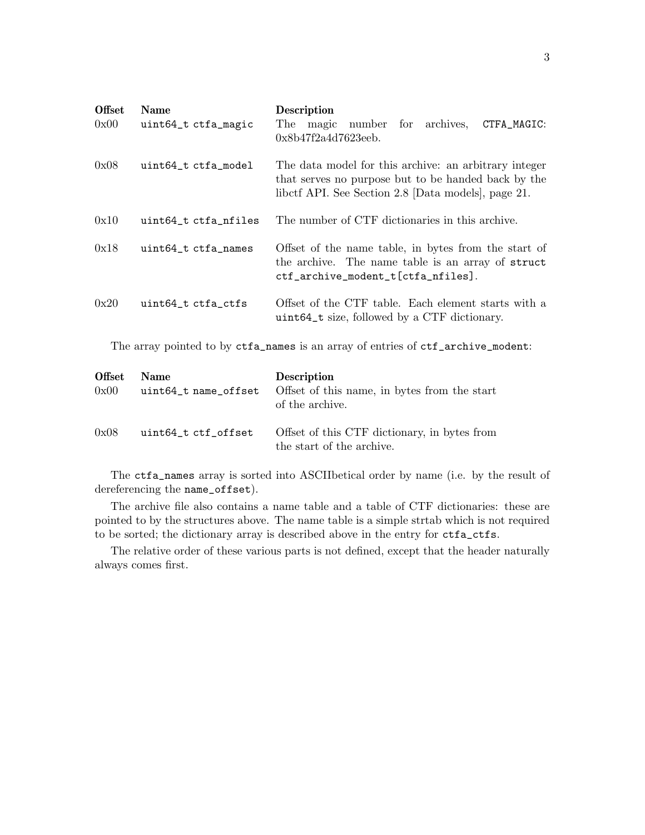<span id="page-5-0"></span>

| <b>Offset</b><br>0x00 | <b>Name</b><br>uint64_t ctfa_magic | Description<br>magic number for archives,<br>CTFA_MAGIC:<br>The<br>0x8b47f2a4d7623eeb.                                                                              |
|-----------------------|------------------------------------|---------------------------------------------------------------------------------------------------------------------------------------------------------------------|
| 0x08                  | uint64_t ctfa_model                | The data model for this archive: an arbitrary integer<br>that serves no purpose but to be handed back by the<br>libett API. See Section 2.8 [Data models], page 21. |
| 0x10                  | uint64_t ctfa_nfiles               | The number of CTF dictionaries in this archive.                                                                                                                     |
| 0x18                  | uint64_t ctfa_names                | Offset of the name table, in bytes from the start of<br>the archive. The name table is an array of struct<br>ctf_archive_modent_t[ctfa_nfiles].                     |
| 0x20                  | uint64_t ctfa_ctfs                 | Offset of the CTF table. Each element starts with a<br>uint64_t size, followed by a CTF dictionary.                                                                 |

The array pointed to by ctfa\_names is an array of entries of ctf\_archive\_modent:

| <b>Offset</b><br>0x00 | <b>Name</b><br>uint64_t name_offset | <b>Description</b><br>Offset of this name, in bytes from the start<br>of the archive. |
|-----------------------|-------------------------------------|---------------------------------------------------------------------------------------|
| 0x08                  | uint64_t ctf_offset                 | Offset of this CTF dictionary, in bytes from<br>the start of the archive.             |

The ctfa\_names array is sorted into ASCIIbetical order by name (i.e. by the result of dereferencing the name\_offset).

The archive file also contains a name table and a table of CTF dictionaries: these are pointed to by the structures above. The name table is a simple strtab which is not required to be sorted; the dictionary array is described above in the entry for ctfa\_ctfs.

The relative order of these various parts is not defined, except that the header naturally always comes first.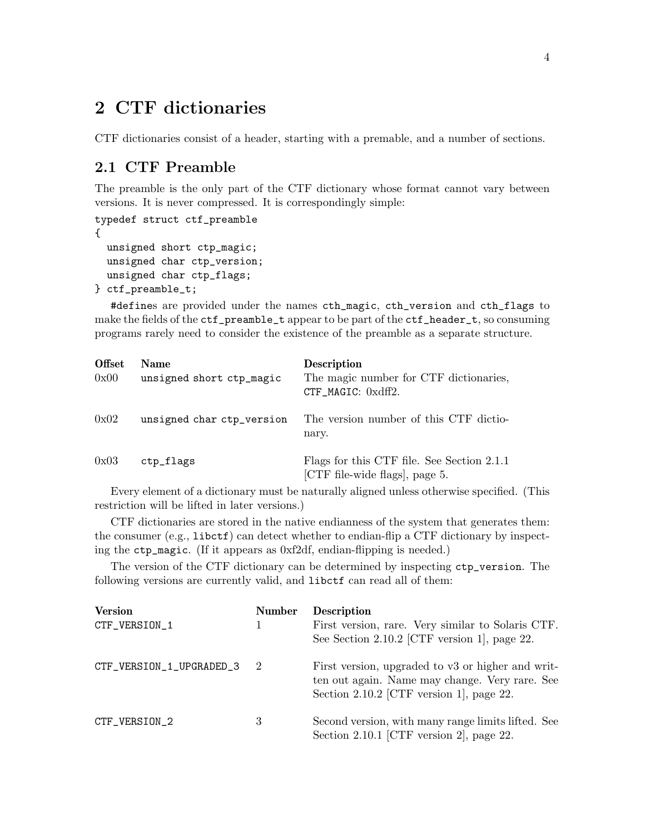### <span id="page-6-0"></span>2 CTF dictionaries

CTF dictionaries consist of a header, starting with a premable, and a number of sections.

### <span id="page-6-1"></span>2.1 CTF Preamble

The preamble is the only part of the CTF dictionary whose format cannot vary between versions. It is never compressed. It is correspondingly simple:

```
typedef struct ctf_preamble
{
 unsigned short ctp_magic;
 unsigned char ctp_version;
 unsigned char ctp_flags;
} ctf_preamble_t;
```
#defines are provided under the names cth\_magic, cth\_version and cth\_flags to make the fields of the ctf\_preamble\_t appear to be part of the ctf\_header\_t, so consuming programs rarely need to consider the existence of the preamble as a separate structure.

| <b>Offset</b><br>0x00 | <b>Name</b><br>unsigned short ctp_magic | <b>Description</b><br>The magic number for CTF dictionaries,<br>CTF_MAGIC: 0xdff2. |
|-----------------------|-----------------------------------------|------------------------------------------------------------------------------------|
| 0x02                  | unsigned char ctp_version               | The version number of this CTF dictio-<br>nary.                                    |
| 0x03                  | ctp_flags                               | Flags for this CTF file. See Section 2.1.1<br>[CTF file-wide flags], page 5.       |

Every element of a dictionary must be naturally aligned unless otherwise specified. (This restriction will be lifted in later versions.)

CTF dictionaries are stored in the native endianness of the system that generates them: the consumer  $(e.g., 1**i** *best f*)$  can detect whether to endian-flip a CTF dictionary by inspecting the ctp\_magic. (If it appears as 0xf2df, endian-flipping is needed.)

The version of the CTF dictionary can be determined by inspecting ctp\_version. The following versions are currently valid, and libctf can read all of them:

| <b>Version</b><br>CTF_VERSION_1 | <b>Number</b> | <b>Description</b><br>First version, rare. Very similar to Solaris CTF.<br>See Section 2.10.2 [CTF version 1], page 22.                         |
|---------------------------------|---------------|-------------------------------------------------------------------------------------------------------------------------------------------------|
| CTF_VERSION_1_UPGRADED_3 2      |               | First version, upgraded to v3 or higher and writ-<br>ten out again. Name may change. Very rare. See<br>Section 2.10.2 [CTF version 1], page 22. |
| CTF_VERSION_2                   | 3             | Second version, with many range limits lifted. See<br>Section 2.10.1 [CTF version 2], page 22.                                                  |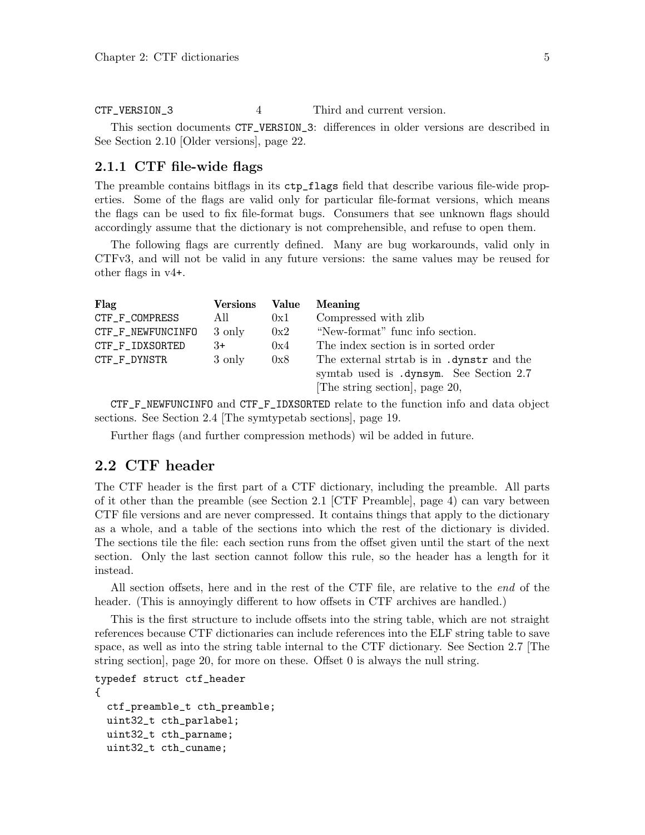<span id="page-7-0"></span>CTF\_VERSION\_3 4 Third and current version.

This section documents CTF\_VERSION\_3: differences in older versions are described in See [Section 2.10 \[Older versions\], page 22.](#page-24-0)

### <span id="page-7-2"></span>2.1.1 CTF file-wide flags

The preamble contains bitflags in its ctp\_flags field that describe various file-wide properties. Some of the flags are valid only for particular file-format versions, which means the flags can be used to fix file-format bugs. Consumers that see unknown flags should accordingly assume that the dictionary is not comprehensible, and refuse to open them.

The following flags are currently defined. Many are bug workarounds, valid only in CTFv3, and will not be valid in any future versions: the same values may be reused for other flags in v4+.

| Flag              | <b>Versions</b> | Value | <b>Meaning</b>                                                                                                       |
|-------------------|-----------------|-------|----------------------------------------------------------------------------------------------------------------------|
| CTF_F_COMPRESS    | All             | 0x1   | Compressed with zlib                                                                                                 |
| CTF_F_NEWFUNCINFO | 3 only          | 0x2   | "New-format" func info section.                                                                                      |
| CTF_F_IDXSORTED   | 3+              | 0x4   | The index section is in sorted order                                                                                 |
| CTF_F_DYNSTR      | 3 only          | 0x8   | The external strtab is in .dynstr and the<br>symtab used is .dynsym. See Section 2.7<br>The string section, page 20, |

CTF\_F\_NEWFUNCINFO and CTF\_F\_IDXSORTED relate to the function info and data object sections. See [Section 2.4 \[The symtypetab sections\], page 19.](#page-21-1)

Further flags (and further compression methods) wil be added in future.

### <span id="page-7-1"></span>2.2 CTF header

The CTF header is the first part of a CTF dictionary, including the preamble. All parts of it other than the preamble (see [Section 2.1 \[CTF Preamble\], page 4](#page-6-1)) can vary between CTF file versions and are never compressed. It contains things that apply to the dictionary as a whole, and a table of the sections into which the rest of the dictionary is divided. The sections tile the file: each section runs from the offset given until the start of the next section. Only the last section cannot follow this rule, so the header has a length for it instead.

All section offsets, here and in the rest of the CTF file, are relative to the end of the header. (This is annoyingly different to how offsets in CTF archives are handled.)

This is the first structure to include offsets into the string table, which are not straight references because CTF dictionaries can include references into the ELF string table to save space, as well as into the string table internal to the CTF dictionary. See [Section 2.7 \[The](#page-22-1) [string section\], page 20,](#page-22-1) for more on these. Offset 0 is always the null string.

```
typedef struct ctf_header
{
```

```
ctf_preamble_t cth_preamble;
uint32_t cth_parlabel;
uint32_t cth_parname;
uint32_t cth_cuname;
```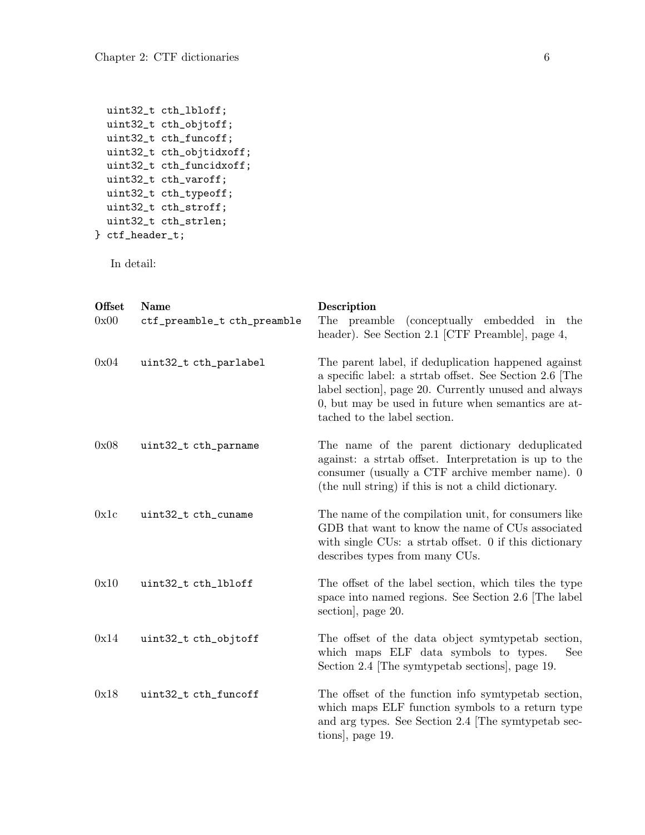```
uint32_t cth_lbloff;
 uint32_t cth_objtoff;
 uint32_t cth_funcoff;
 uint32_t cth_objtidxoff;
 uint32_t cth_funcidxoff;
 uint32_t cth_varoff;
 uint32_t cth_typeoff;
 uint32_t cth_stroff;
 uint32_t cth_strlen;
} ctf_header_t;
```
In detail:

| <b>Offset</b><br>0x00 | <b>Name</b><br>ctf_preamble_t cth_preamble | Description<br>The preamble<br>(conceptually embedded in the<br>header). See Section 2.1 [CTF Preamble], page 4,                                                                                                                                            |
|-----------------------|--------------------------------------------|-------------------------------------------------------------------------------------------------------------------------------------------------------------------------------------------------------------------------------------------------------------|
| 0x04                  | uint32_t cth_parlabel                      | The parent label, if deduplication happened against<br>a specific label: a strtab offset. See Section 2.6 The<br>label section, page 20. Currently unused and always<br>0, but may be used in future when semantics are at-<br>tached to the label section. |
| 0x08                  | uint32_t cth_parname                       | The name of the parent dictionary deduplicated<br>against: a striab offset. Interpretation is up to the<br>consumer (usually a CTF archive member name). 0<br>(the null string) if this is not a child dictionary.                                          |
| 0x1c                  | uint32_t cth_cuname                        | The name of the compilation unit, for consumers like<br>GDB that want to know the name of CUs associated<br>with single CUs: a strtab offset. 0 if this dictionary<br>describes types from many CUs.                                                        |
| 0x10                  | uint32_t cth_lbloff                        | The offset of the label section, which tiles the type<br>space into named regions. See Section 2.6 The label<br>section, page 20.                                                                                                                           |
| 0x14                  | uint32_t cth_objtoff                       | The offset of the data object symtypetab section,<br>which maps ELF data symbols to types.<br>See<br>Section 2.4 The symtypetab sections, page 19.                                                                                                          |
| 0x18                  | uint32_t cth_funcoff                       | The offset of the function info symtypetab section,<br>which maps ELF function symbols to a return type<br>and arg types. See Section 2.4 The symptypetab sec-<br>tions, page 19.                                                                           |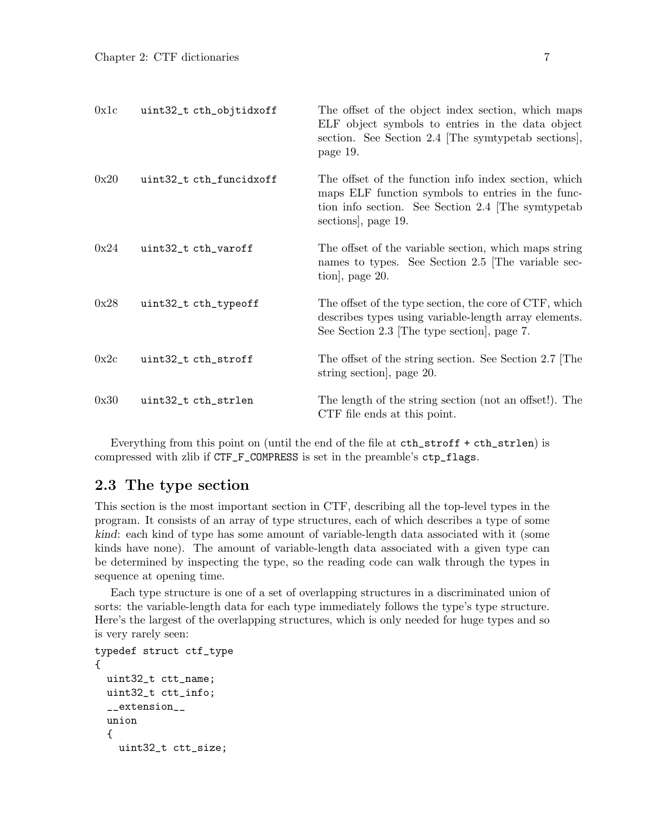<span id="page-9-0"></span>

| 0x1c | uint32_t cth_objtidxoff | The offset of the object index section, which maps<br>ELF object symbols to entries in the data object<br>section. See Section 2.4 The symtypetab sections,<br>page 19.              |
|------|-------------------------|--------------------------------------------------------------------------------------------------------------------------------------------------------------------------------------|
| 0x20 | uint32_t cth_funcidxoff | The offset of the function info index section, which<br>maps ELF function symbols to entries in the func-<br>tion info section. See Section 2.4 The symtypetab<br>sections, page 19. |
| 0x24 | uint32_t cth_varoff     | The offset of the variable section, which maps string<br>names to types. See Section 2.5 The variable sec-<br>tion, page 20.                                                         |
| 0x28 | uint32_t cth_typeoff    | The offset of the type section, the core of CTF, which<br>describes types using variable-length array elements.<br>See Section 2.3 The type section, page 7.                         |
| 0x2c | uint32_t cth_stroff     | The offset of the string section. See Section 2.7 The<br>string section, page 20.                                                                                                    |
| 0x30 | uint32_t cth_strlen     | The length of the string section (not an offset!). The<br>CTF file ends at this point.                                                                                               |

Everything from this point on (until the end of the file at cth\_stroff + cth\_strlen) is compressed with zlib if CTF\_F\_COMPRESS is set in the preamble's ctp\_flags.

### <span id="page-9-1"></span>2.3 The type section

This section is the most important section in CTF, describing all the top-level types in the program. It consists of an array of type structures, each of which describes a type of some kind: each kind of type has some amount of variable-length data associated with it (some kinds have none). The amount of variable-length data associated with a given type can be determined by inspecting the type, so the reading code can walk through the types in sequence at opening time.

Each type structure is one of a set of overlapping structures in a discriminated union of sorts: the variable-length data for each type immediately follows the type's type structure. Here's the largest of the overlapping structures, which is only needed for huge types and so is very rarely seen:

```
typedef struct ctf_type
{
 uint32_t ctt_name;
 uint32_t ctt_info;
  __extension__
 union
  {
   uint32_t ctt_size;
```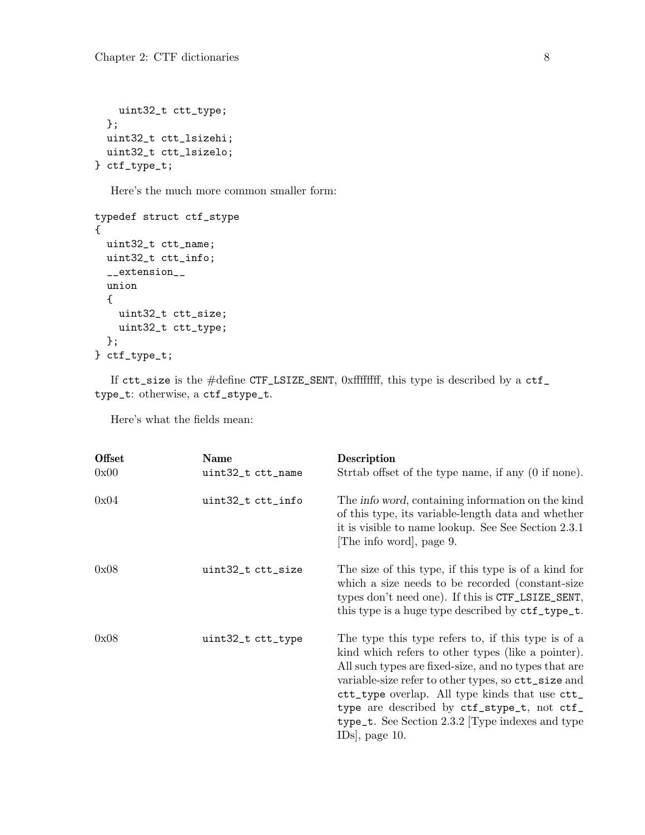```
uint32_t ctt_type;
 };
 uint32_t ctt_lsizehi;
 uint32_t ctt_lsizelo;
} ctf_type_t;
```
Here's the much more common smaller form:

```
typedef struct ctf_stype
{
 uint32_t ctt_name;
 uint32_t ctt_info;
 __extension__
 union
 {
   uint32_t ctt_size;
   uint32_t ctt_type;
 };
} ctf_type_t;
```
If ctt\_size is the #define CTF\_LSIZE\_SENT, 0xffffffff, this type is described by a ctf\_ type\_t: otherwise, a ctf\_stype\_t.

Here's what the fields mean:

| <b>Offset</b> | Name              | Description                                                                                                                                                                                                                                                                                                                                                                                    |
|---------------|-------------------|------------------------------------------------------------------------------------------------------------------------------------------------------------------------------------------------------------------------------------------------------------------------------------------------------------------------------------------------------------------------------------------------|
| 0x00          | uint32_t ctt_name | Strahb offset of the type name, if any (0 if none).                                                                                                                                                                                                                                                                                                                                            |
| 0x04          | uint32_t ctt_info | The <i>info word</i> , containing information on the kind<br>of this type, its variable-length data and whether<br>it is visible to name lookup. See See Section 2.3.1<br>The info word, page 9.                                                                                                                                                                                               |
| 0x08          | uint32_t ctt_size | The size of this type, if this type is of a kind for<br>which a size needs to be recorded (constant-size<br>types don't need one). If this is CTF_LSIZE_SENT,<br>this type is a huge type described by $ctf_type_t$ .                                                                                                                                                                          |
| 0x08          | uint32_t ctt_type | The type this type refers to, if this type is of a<br>kind which refers to other types (like a pointer).<br>All such types are fixed-size, and no types that are<br>variable-size refer to other types, so ctt_size and<br>ctt_type overlap. All type kinds that use ctt_<br>type are described by ctf_stype_t, not ctf_<br>type_t. See Section $2.3.2$ Type indexes and type<br>IDs, page 10. |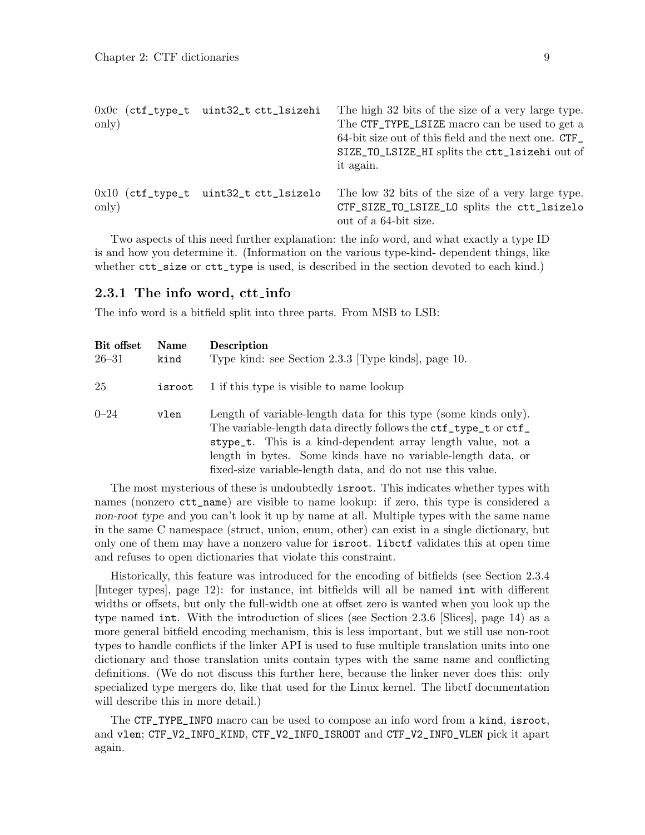<span id="page-11-0"></span>

| only) | 0x0c (ctf_type_t uint32_t ctt_lsizehi   | The high 32 bits of the size of a very large type.<br>The CTF_TYPE_LSIZE macro can be used to get a<br>64-bit size out of this field and the next one. CTF<br>SIZE_TO_LSIZE_HI splits the ctt_lsizehi out of<br>it again. |
|-------|-----------------------------------------|---------------------------------------------------------------------------------------------------------------------------------------------------------------------------------------------------------------------------|
| only) | $0x10$ (ctf_type_t uint32_t ctt_lsizelo | The low 32 bits of the size of a very large type.<br>CTF_SIZE_TO_LSIZE_LO splits the ctt_lsizelo<br>out of a 64-bit size.                                                                                                 |

Two aspects of this need further explanation: the info word, and what exactly a type ID is and how you determine it. (Information on the various type-kind- dependent things, like whether  $\texttt{ctt_size}$  or  $\texttt{ctt_type}$  is used, is described in the section devoted to each kind.)

#### <span id="page-11-1"></span>2.3.1 The info word, ctt\_info

The info word is a bitfield split into three parts. From MSB to LSB:

| Bit offset<br>$26 - 31$ | <b>Name</b><br>kind | <b>Description</b><br>Type kind: see Section 2.3.3 [Type kinds], page 10.                                                                                                                                                                                                                                                         |
|-------------------------|---------------------|-----------------------------------------------------------------------------------------------------------------------------------------------------------------------------------------------------------------------------------------------------------------------------------------------------------------------------------|
| 25                      | isroot              | 1 if this type is visible to name lookup                                                                                                                                                                                                                                                                                          |
| $0 - 24$                | vlen                | Length of variable-length data for this type (some kinds only).<br>The variable-length data directly follows the ctf_type_t or ctf_<br>stype_t. This is a kind-dependent array length value, not a<br>length in bytes. Some kinds have no variable-length data, or<br>fixed-size variable-length data, and do not use this value. |

The most mysterious of these is undoubtedly isroot. This indicates whether types with names (nonzero ctt\_name) are visible to name lookup: if zero, this type is considered a non-root type and you can't look it up by name at all. Multiple types with the same name in the same C namespace (struct, union, enum, other) can exist in a single dictionary, but only one of them may have a nonzero value for isroot. libctf validates this at open time and refuses to open dictionaries that violate this constraint.

Historically, this feature was introduced for the encoding of bitfields (see [Section 2.3.4](#page-14-1) [\[Integer types\], page 12\)](#page-14-1): for instance, int bitfields will all be named int with different widths or offsets, but only the full-width one at offset zero is wanted when you look up the type named int. With the introduction of slices (see [Section 2.3.6 \[Slices\], page 14](#page-16-1)) as a more general bitfield encoding mechanism, this is less important, but we still use non-root types to handle conflicts if the linker API is used to fuse multiple translation units into one dictionary and those translation units contain types with the same name and conflicting definitions. (We do not discuss this further here, because the linker never does this: only specialized type mergers do, like that used for the Linux kernel. The libctf documentation will describe this in more detail.)

The CTF\_TYPE\_INFO macro can be used to compose an info word from a kind, isroot, and vlen; CTF\_V2\_INFO\_KIND, CTF\_V2\_INFO\_ISROOT and CTF\_V2\_INFO\_VLEN pick it apart again.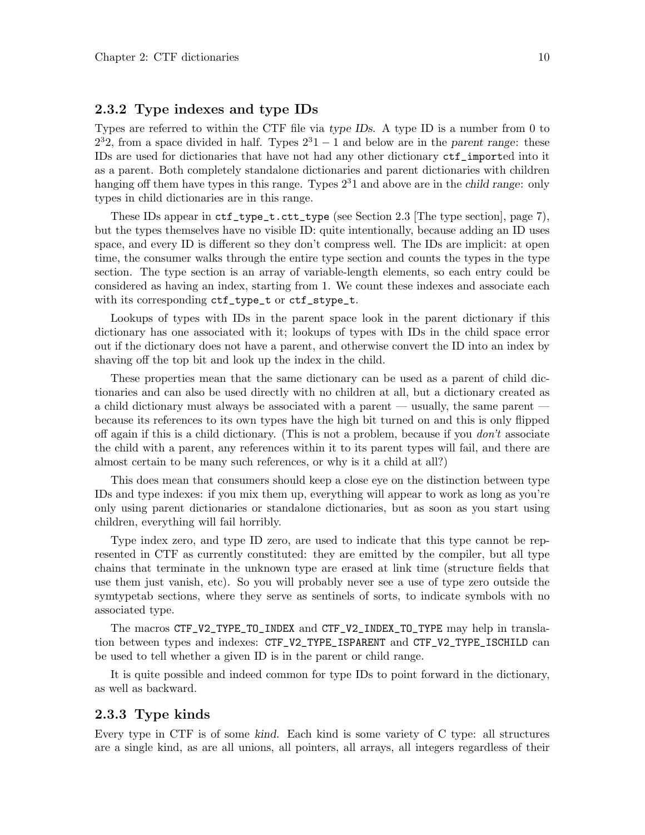### <span id="page-12-0"></span>2.3.2 Type indexes and type IDs

Types are referred to within the CTF file via type IDs. A type ID is a number from 0 to  $2<sup>3</sup>2$ , from a space divided in half. Types  $2<sup>3</sup>1 - 1$  and below are in the parent range: these IDs are used for dictionaries that have not had any other dictionary ctf\_imported into it as a parent. Both completely standalone dictionaries and parent dictionaries with children hanging off them have types in this range. Types  $2<sup>3</sup>1$  and above are in the *child range*: only types in child dictionaries are in this range.

These IDs appear in  $\texttt{ctf_type\_t.ctt_type}$  (see [Section 2.3 \[The type section\], page 7\)](#page-9-1), but the types themselves have no visible ID: quite intentionally, because adding an ID uses space, and every ID is different so they don't compress well. The IDs are implicit: at open time, the consumer walks through the entire type section and counts the types in the type section. The type section is an array of variable-length elements, so each entry could be considered as having an index, starting from 1. We count these indexes and associate each with its corresponding  $ct_f_type_t$  or  $ct_f-style_t$ .

Lookups of types with IDs in the parent space look in the parent dictionary if this dictionary has one associated with it; lookups of types with IDs in the child space error out if the dictionary does not have a parent, and otherwise convert the ID into an index by shaving off the top bit and look up the index in the child.

These properties mean that the same dictionary can be used as a parent of child dictionaries and can also be used directly with no children at all, but a dictionary created as a child dictionary must always be associated with a parent — usually, the same parent because its references to its own types have the high bit turned on and this is only flipped off again if this is a child dictionary. (This is not a problem, because if you  $don't$  associate the child with a parent, any references within it to its parent types will fail, and there are almost certain to be many such references, or why is it a child at all?)

This does mean that consumers should keep a close eye on the distinction between type IDs and type indexes: if you mix them up, everything will appear to work as long as you're only using parent dictionaries or standalone dictionaries, but as soon as you start using children, everything will fail horribly.

Type index zero, and type ID zero, are used to indicate that this type cannot be represented in CTF as currently constituted: they are emitted by the compiler, but all type chains that terminate in the unknown type are erased at link time (structure fields that use them just vanish, etc). So you will probably never see a use of type zero outside the symtypetab sections, where they serve as sentinels of sorts, to indicate symbols with no associated type.

The macros CTF\_V2\_TYPE\_TO\_INDEX and CTF\_V2\_INDEX\_TO\_TYPE may help in translation between types and indexes: CTF\_V2\_TYPE\_ISPARENT and CTF\_V2\_TYPE\_ISCHILD can be used to tell whether a given ID is in the parent or child range.

It is quite possible and indeed common for type IDs to point forward in the dictionary, as well as backward.

#### <span id="page-12-1"></span>2.3.3 Type kinds

Every type in CTF is of some kind. Each kind is some variety of C type: all structures are a single kind, as are all unions, all pointers, all arrays, all integers regardless of their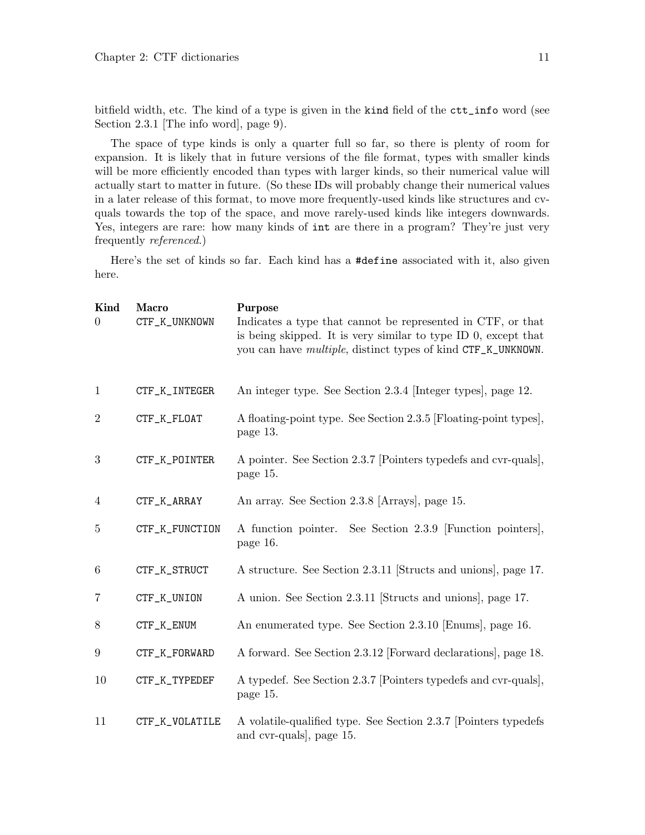<span id="page-13-0"></span>bitfield width, etc. The kind of a type is given in the kind field of the ctt\_info word (see [Section 2.3.1 \[The info word\], page 9](#page-11-1)).

The space of type kinds is only a quarter full so far, so there is plenty of room for expansion. It is likely that in future versions of the file format, types with smaller kinds will be more efficiently encoded than types with larger kinds, so their numerical value will actually start to matter in future. (So these IDs will probably change their numerical values in a later release of this format, to move more frequently-used kinds like structures and cvquals towards the top of the space, and move rarely-used kinds like integers downwards. Yes, integers are rare: how many kinds of  $int$  are there in a program? They're just very frequently referenced.)

Here's the set of kinds so far. Each kind has a #define associated with it, also given here.

| Kind<br>$\boldsymbol{0}$ | <b>Macro</b><br>CTF_K_UNKNOWN | <b>Purpose</b><br>Indicates a type that cannot be represented in CTF, or that<br>is being skipped. It is very similar to type ID $0$ , except that<br>you can have <i>multiple</i> , distinct types of kind CTF_K_UNKNOWN. |
|--------------------------|-------------------------------|----------------------------------------------------------------------------------------------------------------------------------------------------------------------------------------------------------------------------|
| 1                        | CTF_K_INTEGER                 | An integer type. See Section 2.3.4 [Integer types], page 12.                                                                                                                                                               |
| $\boldsymbol{2}$         | CTF_K_FLOAT                   | A floating-point type. See Section 2.3.5 [Floating-point types],<br>page 13.                                                                                                                                               |
| 3                        | CTF_K_POINTER                 | A pointer. See Section 2.3.7 [Pointers typedefs and cvr-quals],<br>page 15.                                                                                                                                                |
| $\overline{4}$           | CTF_K_ARRAY                   | An array. See Section 2.3.8 [Arrays], page 15.                                                                                                                                                                             |
| $\overline{5}$           | CTF_K_FUNCTION                | A function pointer. See Section 2.3.9 [Function pointers],<br>page 16.                                                                                                                                                     |
| 6                        | CTF_K_STRUCT                  | A structure. See Section 2.3.11 [Structs and unions], page 17.                                                                                                                                                             |
| 7                        | CTF_K_UNION                   | A union. See Section 2.3.11 [Structs and unions], page 17.                                                                                                                                                                 |
| 8                        | CTF_K_ENUM                    | An enumerated type. See Section 2.3.10 [Enums], page 16.                                                                                                                                                                   |
| 9                        | CTF_K_FORWARD                 | A forward. See Section 2.3.12 [Forward declarations], page 18.                                                                                                                                                             |
| 10                       | CTF_K_TYPEDEF                 | A typedef. See Section 2.3.7 [Pointers typedefs and cvr-quals],<br>page 15.                                                                                                                                                |
| 11                       | CTF_K_VOLATILE                | A volatile-qualified type. See Section 2.3.7 [Pointers typedefs]<br>and cvr-quals], page 15.                                                                                                                               |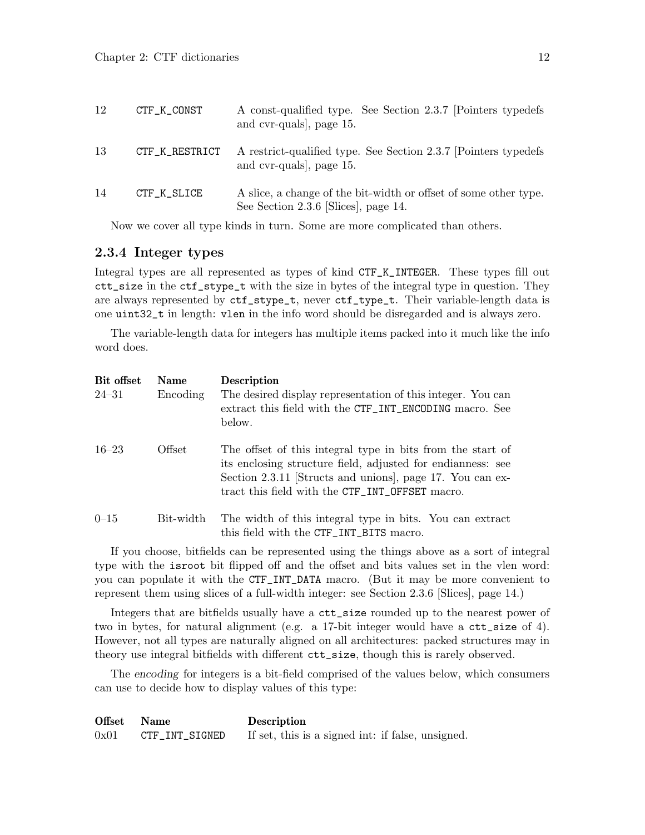<span id="page-14-0"></span>

| 12 | CTF_K_CONST    | A const-qualified type. See Section 2.3.7 [Pointers typedefs]<br>and cvr-quals, page 15.                 |
|----|----------------|----------------------------------------------------------------------------------------------------------|
| 13 | CTF_K_RESTRICT | A restrict-qualified type. See Section 2.3.7 [Pointers typedefs]<br>and cvr-quals, page 15.              |
| 14 | CTF_K_SLICE    | A slice, a change of the bit-width or offset of some other type.<br>See Section 2.3.6 [Slices], page 14. |

Now we cover all type kinds in turn. Some are more complicated than others.

#### <span id="page-14-1"></span>2.3.4 Integer types

Integral types are all represented as types of kind CTF\_K\_INTEGER. These types fill out ctt\_size in the ctf\_stype\_t with the size in bytes of the integral type in question. They are always represented by ctf\_stype\_t, never ctf\_type\_t. Their variable-length data is one uint32\_t in length: vlen in the info word should be disregarded and is always zero.

The variable-length data for integers has multiple items packed into it much like the info word does.

| Bit offset | <b>Name</b> | Description                                                                                                                                                                                                                               |
|------------|-------------|-------------------------------------------------------------------------------------------------------------------------------------------------------------------------------------------------------------------------------------------|
| $24 - 31$  | Encoding    | The desired display representation of this integer. You can<br>extract this field with the CTF_INT_ENCODING macro. See<br>below.                                                                                                          |
| $16 - 23$  | Offset      | The offset of this integral type in bits from the start of<br>its enclosing structure field, adjusted for endianness: see<br>Section 2.3.11 [Structs and unions], page 17. You can ex-<br>tract this field with the CTF_INT_OFFSET macro. |
| $0 - 15$   | Bit-width   | The width of this integral type in bits. You can extract<br>this field with the CTF_INT_BITS macro.                                                                                                                                       |

If you choose, bitfields can be represented using the things above as a sort of integral type with the isroot bit flipped off and the offset and bits values set in the vlen word: you can populate it with the CTF\_INT\_DATA macro. (But it may be more convenient to represent them using slices of a full-width integer: see [Section 2.3.6 \[Slices\], page 14](#page-16-1).)

Integers that are bitfields usually have a ctt\_size rounded up to the nearest power of two in bytes, for natural alignment (e.g. a 17-bit integer would have a ctt\_size of 4). However, not all types are naturally aligned on all architectures: packed structures may in theory use integral bitfields with different ctt\_size, though this is rarely observed.

The encoding for integers is a bit-field comprised of the values below, which consumers can use to decide how to display values of this type:

Offset Name Description 0x01 CTF\_INT\_SIGNED If set, this is a signed int: if false, unsigned.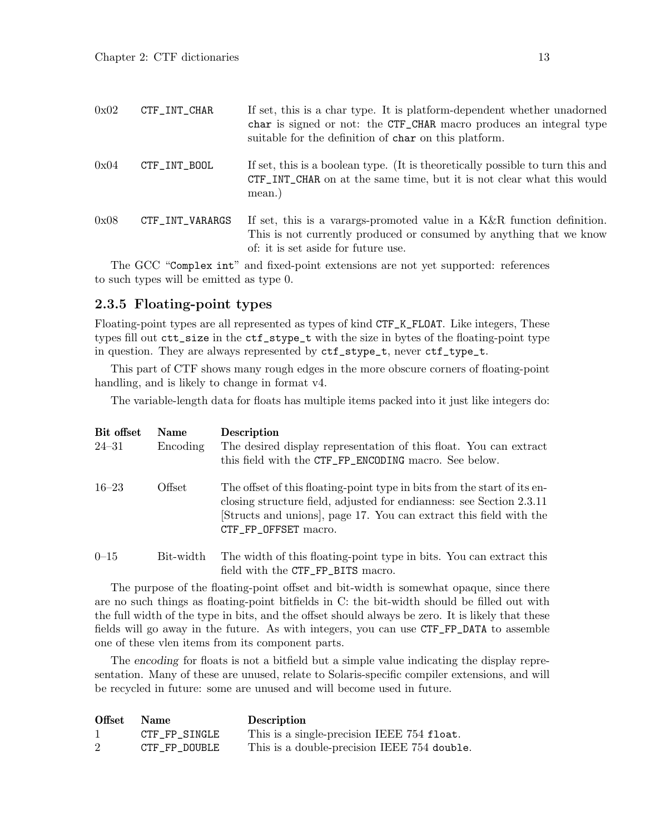<span id="page-15-0"></span>

| 0x02 | CTF_INT_CHAR                | If set, this is a char type. It is platform-dependent whether unadorned<br>char is signed or not: the CTF_CHAR macro produces an integral type<br>suitable for the definition of char on this platform.                          |
|------|-----------------------------|----------------------------------------------------------------------------------------------------------------------------------------------------------------------------------------------------------------------------------|
| 0x04 | CTF_INT_BOOL                | If set, this is a boolean type. (It is theoretically possible to turn this and<br>CTF_INT_CHAR on at the same time, but it is not clear what this would<br>mean.)                                                                |
| 0x08 | CTF_INT_VARARGS             | If set, this is a variangle-promoted value in a $K\&R$ function definition.<br>This is not currently produced or consumed by anything that we know<br>of: it is set aside for future use.                                        |
| m    | $\cap$ $\cap$ $\cap$ $\cap$ | $\cdot$ . The contract of the contract of the contract of the contract of the contract of the contract of the contract of the contract of the contract of the contract of the contract of the contract of the contract of the co |

The GCC "Complex int" and fixed-point extensions are not yet supported: references to such types will be emitted as type 0.

#### <span id="page-15-1"></span>2.3.5 Floating-point types

Floating-point types are all represented as types of kind CTF\_K\_FLOAT. Like integers, These types fill out ctt\_size in the ctf\_stype\_t with the size in bytes of the floating-point type in question. They are always represented by ctf\_stype\_t, never ctf\_type\_t.

This part of CTF shows many rough edges in the more obscure corners of floating-point handling, and is likely to change in format v4.

The variable-length data for floats has multiple items packed into it just like integers do:

| Bit offset | <b>Name</b> | <b>Description</b>                                                                                                                                                                                                                           |
|------------|-------------|----------------------------------------------------------------------------------------------------------------------------------------------------------------------------------------------------------------------------------------------|
| $24 - 31$  | Encoding    | The desired display representation of this float. You can extract<br>this field with the CTF_FP_ENCODING macro. See below.                                                                                                                   |
| $16 - 23$  | Offset      | The offset of this floating-point type in bits from the start of its en-<br>closing structure field, adjusted for endianness: see Section 2.3.11<br>Structs and unions, page 17. You can extract this field with the<br>CTF_FP_OFFSET macro. |
| $0 - 15$   | Bit-width   | The width of this floating-point type in bits. You can extract this                                                                                                                                                                          |

The purpose of the floating-point offset and bit-width is somewhat opaque, since there are no such things as floating-point bitfields in C: the bit-width should be filled out with the full width of the type in bits, and the offset should always be zero. It is likely that these fields will go away in the future. As with integers, you can use CTF\_FP\_DATA to assemble one of these vlen items from its component parts.

field with the CTF\_FP\_BITS macro.

The encoding for floats is not a bitfield but a simple value indicating the display representation. Many of these are unused, relate to Solaris-specific compiler extensions, and will be recycled in future: some are unused and will become used in future.

| Offset | <b>Name</b>   | <b>Description</b>                          |
|--------|---------------|---------------------------------------------|
|        | CTF FP SINGLE | This is a single-precision IEEE 754 float.  |
| 2      | CTF FP DOUBLE | This is a double-precision IEEE 754 double. |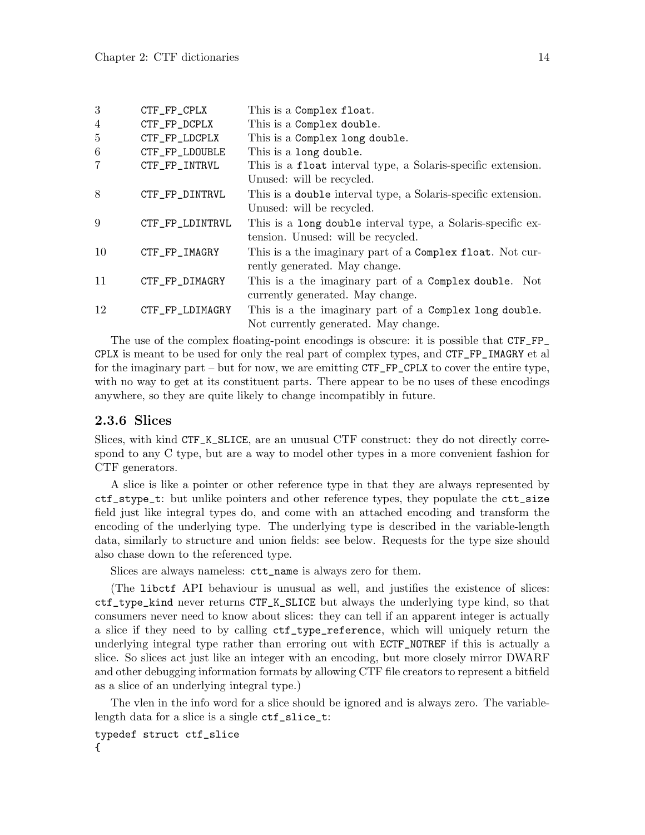<span id="page-16-0"></span>

| 3               | CTF_FP_CPLX     | This is a Complex float.                                      |
|-----------------|-----------------|---------------------------------------------------------------|
| $\overline{4}$  | CTF_FP_DCPLX    | This is a Complex double.                                     |
| 5               | CTF_FP_LDCPLX   | This is a Complex long double.                                |
| $6\phantom{.}6$ | CTF_FP_LDOUBLE  | This is a long double.                                        |
| $\overline{7}$  | CTF_FP_INTRVL   | This is a float interval type, a Solaris-specific extension.  |
|                 |                 | Unused: will be recycled.                                     |
| 8               | CTF_FP_DINTRVL  | This is a double interval type, a Solaris-specific extension. |
|                 |                 | Unused: will be recycled.                                     |
| 9               | CTF_FP_LDINTRVL | This is a long double interval type, a Solaris-specific ex-   |
|                 |                 | tension. Unused: will be recycled.                            |
| 10              | CTF_FP_IMAGRY   | This is a the imaginary part of a Complex float. Not cur-     |
|                 |                 | rently generated. May change.                                 |
| 11              | CTF_FP_DIMAGRY  | This is a the imaginary part of a Complex double. Not         |
|                 |                 | currently generated. May change.                              |
| 12              | CTF_FP_LDIMAGRY | This is a the imaginary part of a Complex long double.        |
|                 |                 | Not currently generated. May change.                          |

The use of the complex floating-point encodings is obscure: it is possible that CTF\_FP\_ CPLX is meant to be used for only the real part of complex types, and CTF\_FP\_IMAGRY et al for the imaginary part – but for now, we are emitting CTF\_FP\_CPLX to cover the entire type, with no way to get at its constituent parts. There appear to be no uses of these encodings anywhere, so they are quite likely to change incompatibly in future.

### <span id="page-16-1"></span>2.3.6 Slices

Slices, with kind CTF\_K\_SLICE, are an unusual CTF construct: they do not directly correspond to any C type, but are a way to model other types in a more convenient fashion for CTF generators.

A slice is like a pointer or other reference type in that they are always represented by ctf\_stype\_t: but unlike pointers and other reference types, they populate the ctt\_size field just like integral types do, and come with an attached encoding and transform the encoding of the underlying type. The underlying type is described in the variable-length data, similarly to structure and union fields: see below. Requests for the type size should also chase down to the referenced type.

Slices are always nameless: ctt\_name is always zero for them.

(The libctf API behaviour is unusual as well, and justifies the existence of slices: ctf\_type\_kind never returns CTF\_K\_SLICE but always the underlying type kind, so that consumers never need to know about slices: they can tell if an apparent integer is actually a slice if they need to by calling ctf\_type\_reference, which will uniquely return the underlying integral type rather than erroring out with ECTF\_NOTREF if this is actually a slice. So slices act just like an integer with an encoding, but more closely mirror DWARF and other debugging information formats by allowing CTF file creators to represent a bitfield as a slice of an underlying integral type.)

The vlen in the info word for a slice should be ignored and is always zero. The variablelength data for a slice is a single ctf\_slice\_t:

typedef struct ctf\_slice {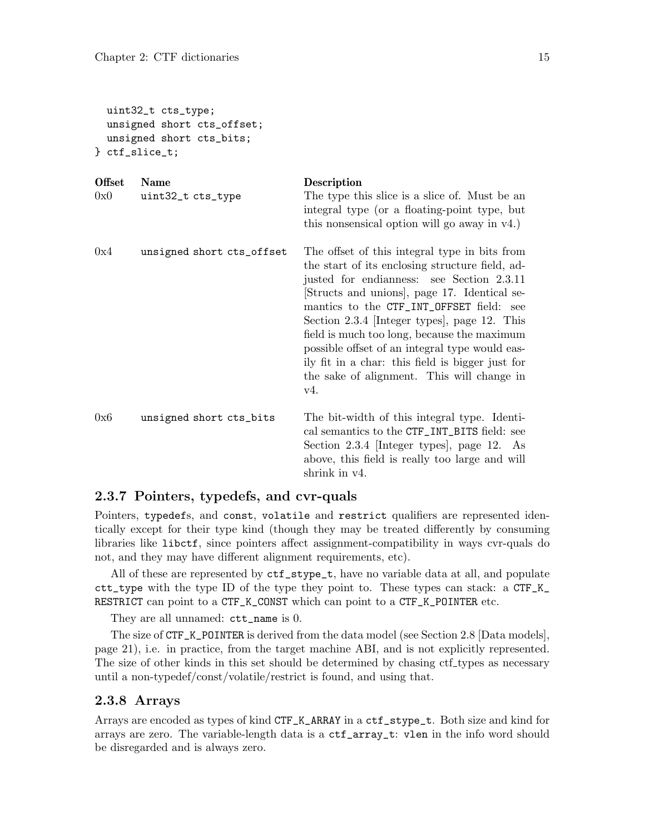```
uint32_t cts_type;
 unsigned short cts_offset;
 unsigned short cts_bits;
} ctf_slice_t;
```

| <b>Offset</b><br>0x0 | <b>Name</b><br>uint32_t cts_type | Description<br>The type this slice is a slice of. Must be an<br>integral type (or a floating-point type, but<br>this nonsensical option will go away in $v4$ .)                                                                                                                                                                                                                                                                                                                                   |
|----------------------|----------------------------------|---------------------------------------------------------------------------------------------------------------------------------------------------------------------------------------------------------------------------------------------------------------------------------------------------------------------------------------------------------------------------------------------------------------------------------------------------------------------------------------------------|
| 0x4                  | unsigned short cts_offset        | The offset of this integral type in bits from<br>the start of its enclosing structure field, ad-<br>justed for endianness: see Section 2.3.11<br>Structs and unions, page 17. Identical se-<br>mantics to the CTF_INT_OFFSET field: see<br>Section 2.3.4 [Integer types], page 12. This<br>field is much too long, because the maximum<br>possible offset of an integral type would eas-<br>ily fit in a char: this field is bigger just for<br>the sake of alignment. This will change in<br>V4. |
| 0x6                  | unsigned short cts_bits          | The bit-width of this integral type. Identi-<br>cal semantics to the CTF_INT_BITS field: see<br>Section 2.3.4 [Integer types], page 12. As<br>above, this field is really too large and will<br>shrink in v4.                                                                                                                                                                                                                                                                                     |

#### <span id="page-17-1"></span>2.3.7 Pointers, typedefs, and cvr-quals

Pointers, typedefs, and const, volatile and restrict qualifiers are represented identically except for their type kind (though they may be treated differently by consuming libraries like libctf, since pointers affect assignment-compatibility in ways cvr-quals do not, and they may have different alignment requirements, etc).

All of these are represented by ctf\_stype\_t, have no variable data at all, and populate  $\texttt{ctt_type}$  with the type ID of the type they point to. These types can stack: a  $\texttt{CTF_K}$ RESTRICT can point to a CTF\_K\_CONST which can point to a CTF\_K\_POINTER etc.

They are all unnamed: ctt\_name is 0.

The size of CTF\_K\_POINTER is derived from the data model (see [Section 2.8 \[Data models\],](#page-23-1) [page 21\)](#page-23-1), i.e. in practice, from the target machine ABI, and is not explicitly represented. The size of other kinds in this set should be determined by chasing ctf types as necessary until a non-typedef/const/volatile/restrict is found, and using that.

### <span id="page-17-2"></span>2.3.8 Arrays

Arrays are encoded as types of kind CTF\_K\_ARRAY in a ctf\_stype\_t. Both size and kind for arrays are zero. The variable-length data is a ctf\_array\_t: vlen in the info word should be disregarded and is always zero.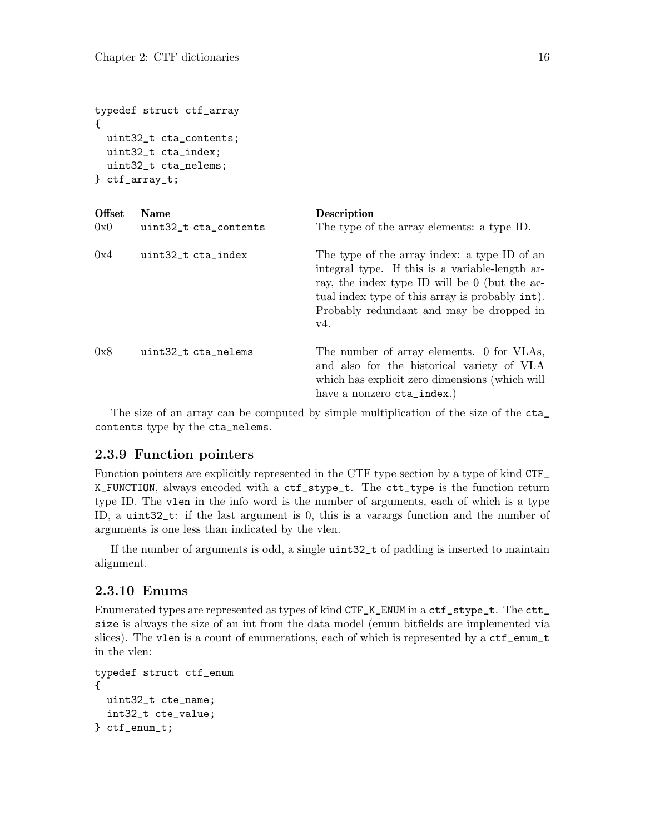```
typedef struct ctf_array
{
 uint32_t cta_contents;
 uint32_t cta_index;
 uint32_t cta_nelems;
} ctf_array_t;
```

| <b>Offset</b><br>0x0 | <b>Name</b><br>uint32_t cta_contents | <b>Description</b><br>The type of the array elements: a type ID.                                                                                                                                                                                                 |
|----------------------|--------------------------------------|------------------------------------------------------------------------------------------------------------------------------------------------------------------------------------------------------------------------------------------------------------------|
| 0x4                  | uint32_t cta_index                   | The type of the array index: a type ID of an<br>integral type. If this is a variable-length ar-<br>ray, the index type ID will be 0 (but the ac-<br>tual index type of this array is probably int.<br>Probably redundant and may be dropped in<br>V <sub>4</sub> |
| 0x8                  | uint32_t cta_nelems                  | The number of array elements. 0 for VLAs,<br>and also for the historical variety of VLA<br>which has explicit zero dimensions (which will<br>have a nonzero cta_index.)                                                                                          |

The size of an array can be computed by simple multiplication of the size of the cta\_ contents type by the cta\_nelems.

### <span id="page-18-1"></span>2.3.9 Function pointers

Function pointers are explicitly represented in the CTF type section by a type of kind CTF\_ K\_FUNCTION, always encoded with a ctf\_stype\_t. The ctt\_type is the function return type ID. The vlen in the info word is the number of arguments, each of which is a type ID, a uint32\_t: if the last argument is 0, this is a varargs function and the number of arguments is one less than indicated by the vlen.

If the number of arguments is odd, a single uint32\_t of padding is inserted to maintain alignment.

### <span id="page-18-2"></span>2.3.10 Enums

Enumerated types are represented as types of kind CTF\_K\_ENUM in a ctf\_stype\_t. The ctt\_ size is always the size of an int from the data model (enum bitfields are implemented via slices). The vlen is a count of enumerations, each of which is represented by a  $\texttt{ctf\_enum\_t}$ in the vlen:

```
typedef struct ctf_enum
{
 uint32_t cte_name;
  int32_t cte_value;
} ctf_enum_t;
```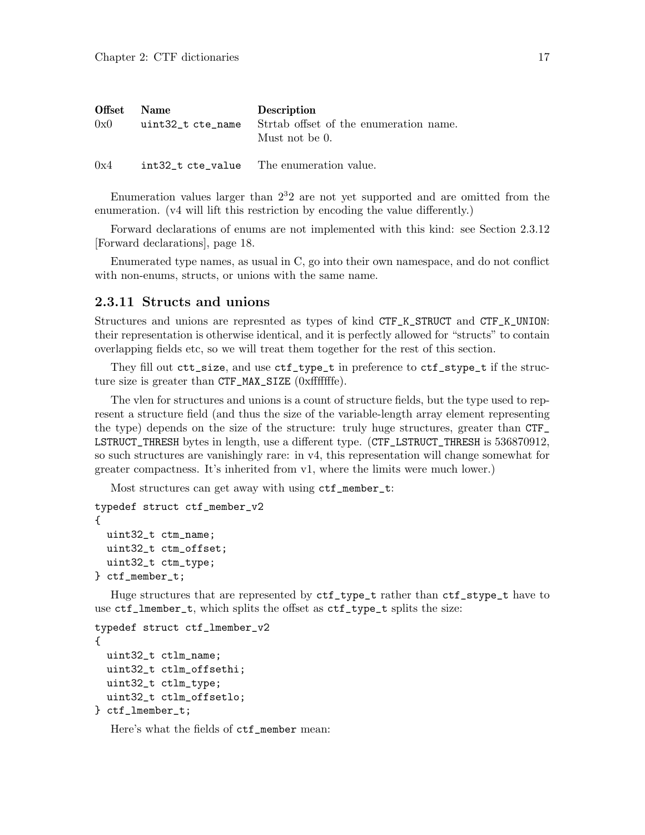<span id="page-19-0"></span>

| Offset | <b>Name</b>       | Description                                              |
|--------|-------------------|----------------------------------------------------------|
| 0x0    | uint32_t cte_name | Stratb offset of the enumeration name.<br>Must not be 0. |
| 0x4    |                   | int32_t cte_value The enumeration value.                 |

Enumeration values larger than  $2<sup>3</sup>2$  are not yet supported and are omitted from the enumeration. (v4 will lift this restriction by encoding the value differently.)

Forward declarations of enums are not implemented with this kind: see [Section 2.3.12](#page-20-1) [\[Forward declarations\], page 18](#page-20-1).

Enumerated type names, as usual in C, go into their own namespace, and do not conflict with non-enums, structs, or unions with the same name.

### <span id="page-19-1"></span>2.3.11 Structs and unions

Structures and unions are represnted as types of kind CTF\_K\_STRUCT and CTF\_K\_UNION: their representation is otherwise identical, and it is perfectly allowed for "structs" to contain overlapping fields etc, so we will treat them together for the rest of this section.

They fill out ctt\_size, and use ctf\_type\_t in preference to ctf\_stype\_t if the structure size is greater than CTF\_MAX\_SIZE (0xfffffffe).

The vlen for structures and unions is a count of structure fields, but the type used to represent a structure field (and thus the size of the variable-length array element representing the type) depends on the size of the structure: truly huge structures, greater than CTF\_ LSTRUCT\_THRESH bytes in length, use a different type. (CTF\_LSTRUCT\_THRESH is 536870912, so such structures are vanishingly rare: in v4, this representation will change somewhat for greater compactness. It's inherited from v1, where the limits were much lower.)

Most structures can get away with using ctf\_member\_t:

```
typedef struct ctf_member_v2
{
 uint32_t ctm_name;
 uint32_t ctm_offset;
 uint32_t ctm_type;
} ctf_member_t;
```
Huge structures that are represented by ctf\_type\_t rather than ctf\_stype\_t have to use ctf\_lmember\_t, which splits the offset as ctf\_type\_t splits the size:

```
typedef struct ctf_lmember_v2
{
 uint32_t ctlm_name;
  uint32_t ctlm_offsethi;
 uint32_t ctlm_type;
 uint32_t ctlm_offsetlo;
} ctf_lmember_t;
```
Here's what the fields of ctf\_member mean: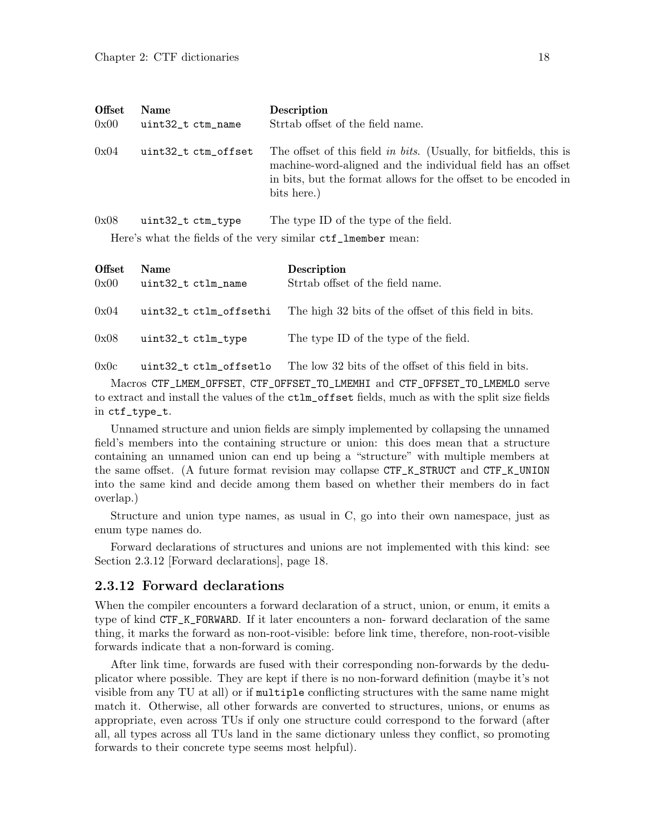<span id="page-20-0"></span>

| <b>Offset</b> | <b>Name</b>         | <b>Description</b>                                                                                                                                                                                                 |
|---------------|---------------------|--------------------------------------------------------------------------------------------------------------------------------------------------------------------------------------------------------------------|
| 0x00          | uint32_t ctm_name   | Strahb offset of the field name.                                                                                                                                                                                   |
| 0x04          | uint32_t ctm_offset | The offset of this field in bits. (Usually, for bitfields, this is<br>machine-word-aligned and the individual field has an offset<br>in bits, but the format allows for the offset to be encoded in<br>bits here.) |
| 0x08          | uint32_t ctm_type   | The type ID of the type of the field.                                                                                                                                                                              |

Here's what the fields of the very similar ctf\_lmember mean:

| <b>Offset</b><br>0x00 | <b>Name</b><br>uint32_t ctlm_name | Description<br>Stratb offset of the field name.       |
|-----------------------|-----------------------------------|-------------------------------------------------------|
| 0x04                  | uint32_t ctlm_offsethi            | The high 32 bits of the offset of this field in bits. |
| 0x08                  | uint32_t ctlm_type                | The type ID of the type of the field.                 |
| 0x0c                  | uint32 t ctlm offsetlo            | The low 32 bits of the offset of this field in bits.  |

Macros CTF\_LMEM\_OFFSET, CTF\_OFFSET\_TO\_LMEMHI and CTF\_OFFSET\_TO\_LMEMLO serve to extract and install the values of the ctlm\_offset fields, much as with the split size fields in ctf\_type\_t.

Unnamed structure and union fields are simply implemented by collapsing the unnamed field's members into the containing structure or union: this does mean that a structure containing an unnamed union can end up being a "structure" with multiple members at the same offset. (A future format revision may collapse CTF\_K\_STRUCT and CTF\_K\_UNION into the same kind and decide among them based on whether their members do in fact overlap.)

Structure and union type names, as usual in C, go into their own namespace, just as enum type names do.

Forward declarations of structures and unions are not implemented with this kind: see [Section 2.3.12 \[Forward declarations\], page 18.](#page-20-1)

### <span id="page-20-1"></span>2.3.12 Forward declarations

When the compiler encounters a forward declaration of a struct, union, or enum, it emits a type of kind CTF\_K\_FORWARD. If it later encounters a non- forward declaration of the same thing, it marks the forward as non-root-visible: before link time, therefore, non-root-visible forwards indicate that a non-forward is coming.

After link time, forwards are fused with their corresponding non-forwards by the deduplicator where possible. They are kept if there is no non-forward definition (maybe it's not visible from any TU at all) or if multiple conflicting structures with the same name might match it. Otherwise, all other forwards are converted to structures, unions, or enums as appropriate, even across TUs if only one structure could correspond to the forward (after all, all types across all TUs land in the same dictionary unless they conflict, so promoting forwards to their concrete type seems most helpful).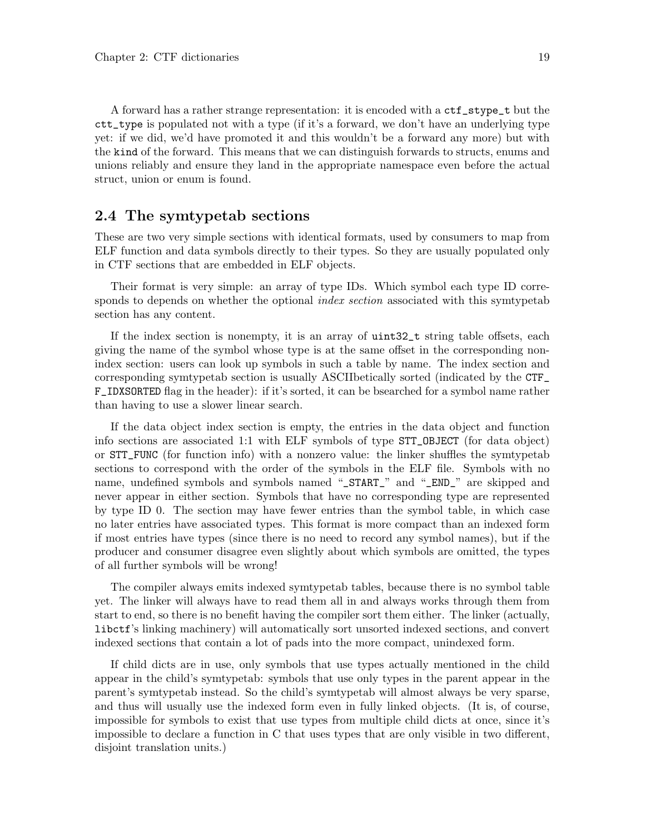<span id="page-21-0"></span>A forward has a rather strange representation: it is encoded with a ctf\_stype\_t but the ctt\_type is populated not with a type (if it's a forward, we don't have an underlying type yet: if we did, we'd have promoted it and this wouldn't be a forward any more) but with the kind of the forward. This means that we can distinguish forwards to structs, enums and unions reliably and ensure they land in the appropriate namespace even before the actual struct, union or enum is found.

### <span id="page-21-1"></span>2.4 The symtypetab sections

These are two very simple sections with identical formats, used by consumers to map from ELF function and data symbols directly to their types. So they are usually populated only in CTF sections that are embedded in ELF objects.

Their format is very simple: an array of type IDs. Which symbol each type ID corresponds to depends on whether the optional *index section* associated with this symtypetab section has any content.

If the index section is nonempty, it is an array of uint32\_t string table offsets, each giving the name of the symbol whose type is at the same offset in the corresponding nonindex section: users can look up symbols in such a table by name. The index section and corresponding symtypetab section is usually ASCIIbetically sorted (indicated by the CTF\_ F\_IDXSORTED flag in the header): if it's sorted, it can be bsearched for a symbol name rather than having to use a slower linear search.

If the data object index section is empty, the entries in the data object and function info sections are associated 1:1 with ELF symbols of type STT\_OBJECT (for data object) or STT\_FUNC (for function info) with a nonzero value: the linker shuffles the symtypetab sections to correspond with the order of the symbols in the ELF file. Symbols with no name, undefined symbols and symbols named "\_START\_" and "\_END\_" are skipped and never appear in either section. Symbols that have no corresponding type are represented by type ID 0. The section may have fewer entries than the symbol table, in which case no later entries have associated types. This format is more compact than an indexed form if most entries have types (since there is no need to record any symbol names), but if the producer and consumer disagree even slightly about which symbols are omitted, the types of all further symbols will be wrong!

The compiler always emits indexed symtypetab tables, because there is no symbol table yet. The linker will always have to read them all in and always works through them from start to end, so there is no benefit having the compiler sort them either. The linker (actually, libctf's linking machinery) will automatically sort unsorted indexed sections, and convert indexed sections that contain a lot of pads into the more compact, unindexed form.

If child dicts are in use, only symbols that use types actually mentioned in the child appear in the child's symtypetab: symbols that use only types in the parent appear in the parent's symtypetab instead. So the child's symtypetab will almost always be very sparse, and thus will usually use the indexed form even in fully linked objects. (It is, of course, impossible for symbols to exist that use types from multiple child dicts at once, since it's impossible to declare a function in C that uses types that are only visible in two different, disjoint translation units.)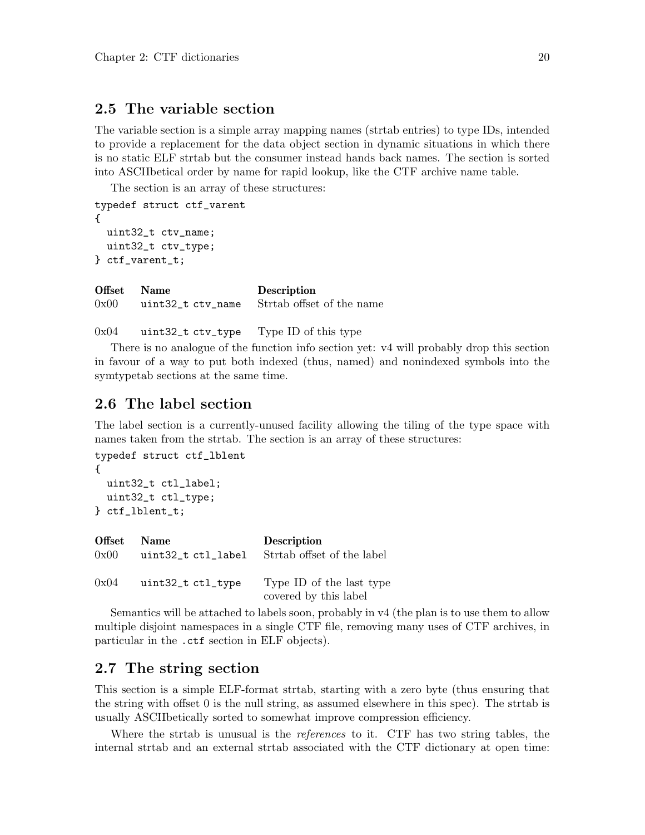### <span id="page-22-0"></span>2.5 The variable section

The variable section is a simple array mapping names (strtab entries) to type IDs, intended to provide a replacement for the data object section in dynamic situations in which there is no static ELF strtab but the consumer instead hands back names. The section is sorted into ASCIIbetical order by name for rapid lookup, like the CTF archive name table.

The section is an array of these structures:

```
typedef struct ctf_varent
{
 uint32_t ctv_name;
 uint32_t ctv_type;
} ctf_varent_t;
```
Offset Name Description 0x00 uint32\_t ctv\_name Strtab offset of the name

0x04 uint32\_t ctv\_type Type ID of this type

There is no analogue of the function info section yet: v4 will probably drop this section in favour of a way to put both indexed (thus, named) and nonindexed symbols into the symtypetab sections at the same time.

### <span id="page-22-2"></span>2.6 The label section

The label section is a currently-unused facility allowing the tiling of the type space with names taken from the strtab. The section is an array of these structures:

```
typedef struct ctf_lblent
{
  uint32_t ctl_label;
 uint32_t ctl_type;
} ctf_lblent_t;
```

| Offset | <b>Name</b>        | <b>Description</b>                                |
|--------|--------------------|---------------------------------------------------|
| 0x00   | uint32_t ctl_label | Strtab offset of the label                        |
| 0x04   | uint32_t ctl_type  | Type ID of the last type<br>covered by this label |

Semantics will be attached to labels soon, probably in v4 (the plan is to use them to allow multiple disjoint namespaces in a single CTF file, removing many uses of CTF archives, in particular in the .ctf section in ELF objects).

### <span id="page-22-1"></span>2.7 The string section

This section is a simple ELF-format strtab, starting with a zero byte (thus ensuring that the string with offset 0 is the null string, as assumed elsewhere in this spec). The strtab is usually ASCIIbetically sorted to somewhat improve compression efficiency.

Where the strtab is unusual is the *references* to it. CTF has two string tables, the internal strtab and an external strtab associated with the CTF dictionary at open time: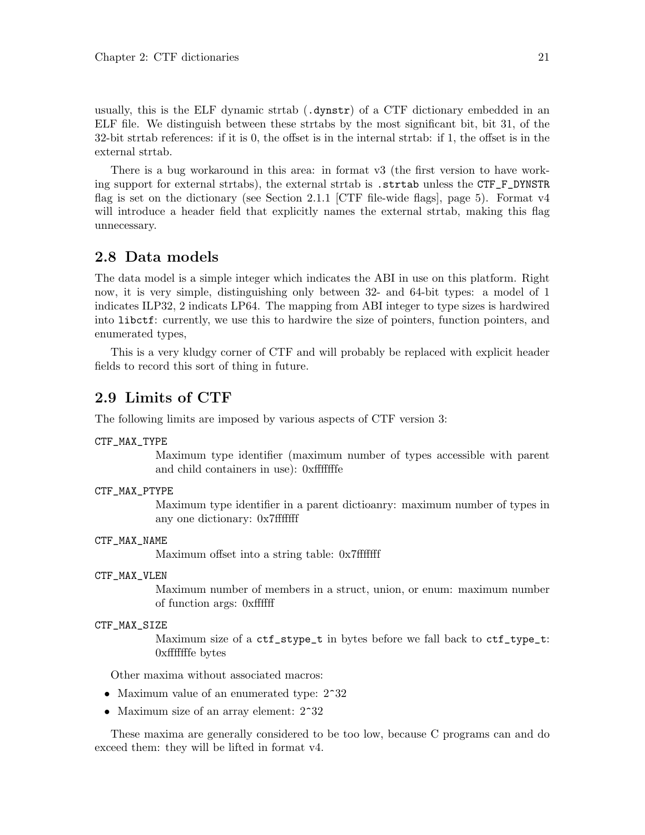<span id="page-23-0"></span>usually, this is the ELF dynamic strtab (.dynstr) of a CTF dictionary embedded in an ELF file. We distinguish between these strtabs by the most significant bit, bit 31, of the 32-bit strtab references: if it is 0, the offset is in the internal strtab: if 1, the offset is in the external strtab.

There is a bug workaround in this area: in format v3 (the first version to have working support for external strtabs), the external strtab is .strtab unless the CTF\_F\_DYNSTR flag is set on the dictionary (see [Section 2.1.1 \[CTF file-wide flags\], page 5\)](#page-7-2). Format v4 will introduce a header field that explicitly names the external strtab, making this flag unnecessary.

### <span id="page-23-1"></span>2.8 Data models

The data model is a simple integer which indicates the ABI in use on this platform. Right now, it is very simple, distinguishing only between 32- and 64-bit types: a model of 1 indicates ILP32, 2 indicats LP64. The mapping from ABI integer to type sizes is hardwired into libctf: currently, we use this to hardwire the size of pointers, function pointers, and enumerated types,

This is a very kludgy corner of CTF and will probably be replaced with explicit header fields to record this sort of thing in future.

### 2.9 Limits of CTF

The following limits are imposed by various aspects of CTF version 3:

#### CTF\_MAX\_TYPE

Maximum type identifier (maximum number of types accessible with parent and child containers in use): 0xfffffffe

#### CTF\_MAX\_PTYPE

Maximum type identifier in a parent dictioanry: maximum number of types in any one dictionary: 0x7fffffff

#### CTF\_MAX\_NAME

Maximum offset into a string table: 0x7fffffff

#### CTF\_MAX\_VLEN

Maximum number of members in a struct, union, or enum: maximum number of function args: 0xffffff

#### CTF\_MAX\_SIZE

Maximum size of a ctf\_stype\_t in bytes before we fall back to ctf\_type\_t: 0xfffffffe bytes

Other maxima without associated macros:

- Maximum value of an enumerated type:  $2^{\degree}32$
- Maximum size of an array element:  $2^{\degree}32$

These maxima are generally considered to be too low, because C programs can and do exceed them: they will be lifted in format v4.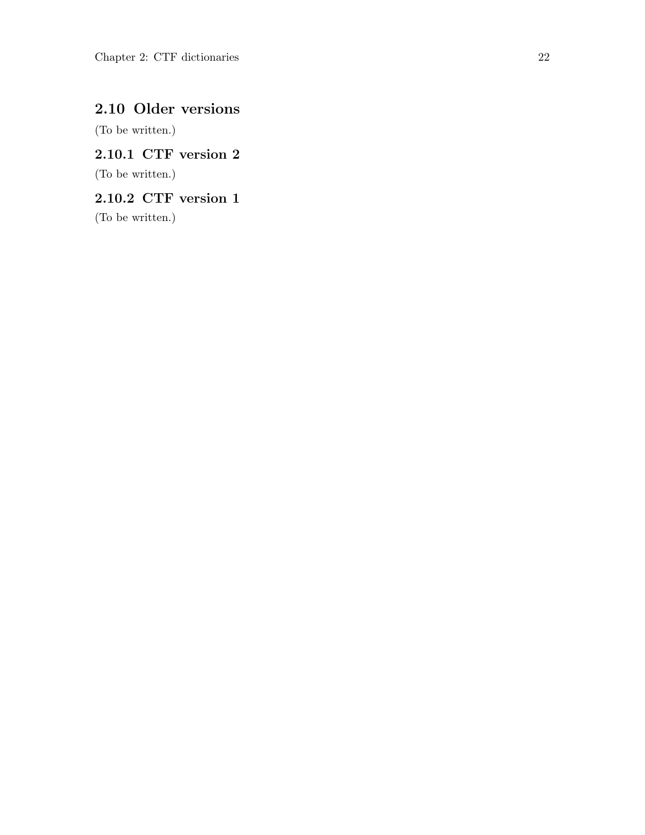### <span id="page-24-0"></span>2.10 Older versions

(To be written.)

<span id="page-24-2"></span>2.10.1 CTF version 2

(To be written.)

<span id="page-24-1"></span>2.10.2 CTF version 1

(To be written.)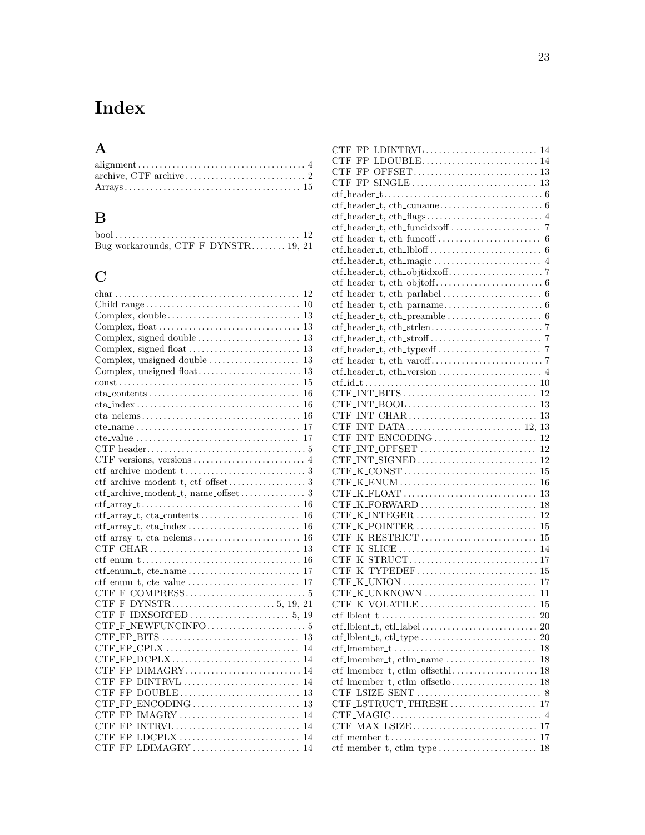## <span id="page-25-0"></span>Index

## A

| $alignment \ldots \ldots \ldots \ldots \ldots \ldots \ldots \ldots \ldots \ldots \ldots \ldots \ldots$ |
|--------------------------------------------------------------------------------------------------------|
|                                                                                                        |
|                                                                                                        |

## B

| Bug workarounds, $CTF_F_DYNSTR$ 19, 21 |  |
|----------------------------------------|--|

## C

| $char \ldots \ldots \ldots \ldots \ldots \ldots \ldots \ldots \ldots \ldots \ldots \ldots \ldots 12$                                           |
|------------------------------------------------------------------------------------------------------------------------------------------------|
|                                                                                                                                                |
|                                                                                                                                                |
|                                                                                                                                                |
|                                                                                                                                                |
|                                                                                                                                                |
|                                                                                                                                                |
|                                                                                                                                                |
|                                                                                                                                                |
| 16                                                                                                                                             |
| $cta\_index \ldots \ldots \ldots \ldots \ldots \ldots \ldots \ldots \ldots \ldots \ldots 16$                                                   |
|                                                                                                                                                |
|                                                                                                                                                |
|                                                                                                                                                |
|                                                                                                                                                |
|                                                                                                                                                |
| $\text{ctf}_\text{-archive\_modent}\_t \ldots \ldots \ldots \ldots \ldots \ldots \ldots 3$                                                     |
|                                                                                                                                                |
|                                                                                                                                                |
|                                                                                                                                                |
|                                                                                                                                                |
|                                                                                                                                                |
| $\text{ctf}_{\text{-array}\text{-}t, \text{} \text{cta}_{\text{-}}\text{nelems}\dots \dots \dots \dots \dots \dots \dots \dots \dots \dots 16$ |
|                                                                                                                                                |
|                                                                                                                                                |
|                                                                                                                                                |
|                                                                                                                                                |
|                                                                                                                                                |
|                                                                                                                                                |
|                                                                                                                                                |
|                                                                                                                                                |
|                                                                                                                                                |
|                                                                                                                                                |
|                                                                                                                                                |
|                                                                                                                                                |
|                                                                                                                                                |
|                                                                                                                                                |
|                                                                                                                                                |
|                                                                                                                                                |
|                                                                                                                                                |
|                                                                                                                                                |
| CTF_FP_LDIMAGRY<br>14                                                                                                                          |

| $\text{ctf}\_\text{header}\_\text{t}, \text{cth}\_\text{cumame}\_\text{t}, \dots, \dots, \dots, \dots, 6$                |    |
|--------------------------------------------------------------------------------------------------------------------------|----|
| $\text{ctf}\_\text{header}\_\text{t}, \text{cth}\_\text{flags}\_\text{t}, \dots, \dots, \dots, \dots, \dots, 4$          |    |
|                                                                                                                          |    |
| $\text{ctf}\_\text{header}\_\text{t}, \text{cth}\_\text{funcoff}\ldots \ldots \ldots \ldots \ldots \ldots \ldots \ldots$ |    |
| $\text{ctf}\_\text{header}\_\text{t}, \text{cth}\_\text{lbof}\_\text{t}, \dots, \dots, \dots, \dots, \dots, 6$           |    |
| $\text{ctf}\_\text{header}\_\text{t}, \text{cth}\_\text{magic}\dots\dots\dots\dots\dots\dots\dots \dots \dots$           |    |
|                                                                                                                          |    |
| $\text{ctf}\_\text{header}\_\text{t}, \text{cth}\_\text{obj}\_\text{t}, \ldots, \ldots, \ldots, \ldots, \ldots, 6$       |    |
| $\text{ctf}\_\text{header}\_\text{t}, \text{cth}\_\text{parallel}\_\text{t}, \ldots, \ldots, \ldots, \ldots, 6$          |    |
|                                                                                                                          |    |
| $\text{ctf}\_\text{header}\_\text{t}, \text{cth}\_\text{preample}\_\text{1}, \dots, \dots, \dots, \dots, 6$              |    |
|                                                                                                                          |    |
| $\text{ctf}\_\text{header}\_\text{t}, \text{cth}\_\text{stroff}\_\text{t}, \dots, \dots, \dots, \dots, 7$                |    |
|                                                                                                                          |    |
|                                                                                                                          |    |
|                                                                                                                          |    |
|                                                                                                                          |    |
|                                                                                                                          | 12 |
|                                                                                                                          |    |
|                                                                                                                          |    |
|                                                                                                                          |    |
|                                                                                                                          |    |
|                                                                                                                          |    |
|                                                                                                                          |    |
| $CTF_K \ncongr \ldots \ldots \ldots \ldots \ldots \ldots \ldots \ldots \ldots \ldots \ldots \ldots \ldots$               |    |
|                                                                                                                          |    |
|                                                                                                                          | 13 |
|                                                                                                                          | 18 |
| $CTF_K_LINTEGER \dots \dots \dots \dots \dots \dots \dots \dots \dots$                                                   | 12 |
| $CTF_K_PONTER \dots \dots \dots \dots \dots \dots \dots \dots \dots$                                                     | 15 |
|                                                                                                                          | 15 |
|                                                                                                                          | 14 |
|                                                                                                                          |    |
|                                                                                                                          |    |
|                                                                                                                          | 17 |
|                                                                                                                          | 11 |
| CTF_K_VOLATILE                                                                                                           | 15 |
|                                                                                                                          | 20 |
| $\text{ctf\_lblent\_t}, \text{ctl\_label} \ldots \ldots \ldots \ldots \ldots \ldots \ldots \ldots \ldots$                |    |
| $\text{ctf\_lblent\_t}, \text{ctl\_type} \dots \dots \dots \dots \dots \dots \dots$                                      | 20 |
|                                                                                                                          | 18 |
| $\text{ctf\_lmember\_t}, \text{ctlm\_name} \ldots \ldots \ldots \ldots \ldots$                                           | 18 |
| ctf_lmember_t, ctlm_offsethi                                                                                             | 18 |
|                                                                                                                          |    |
|                                                                                                                          |    |
| CTF_LSTRUCT_THRESH                                                                                                       | 17 |
| $CTF\_MAGIC \dots \dots \dots \dots \dots \dots \dots \dots \dots \dots \dots \dots \dots$                               |    |
|                                                                                                                          | 17 |
|                                                                                                                          | 17 |
| ctf_member_t, ctlm_type                                                                                                  | 18 |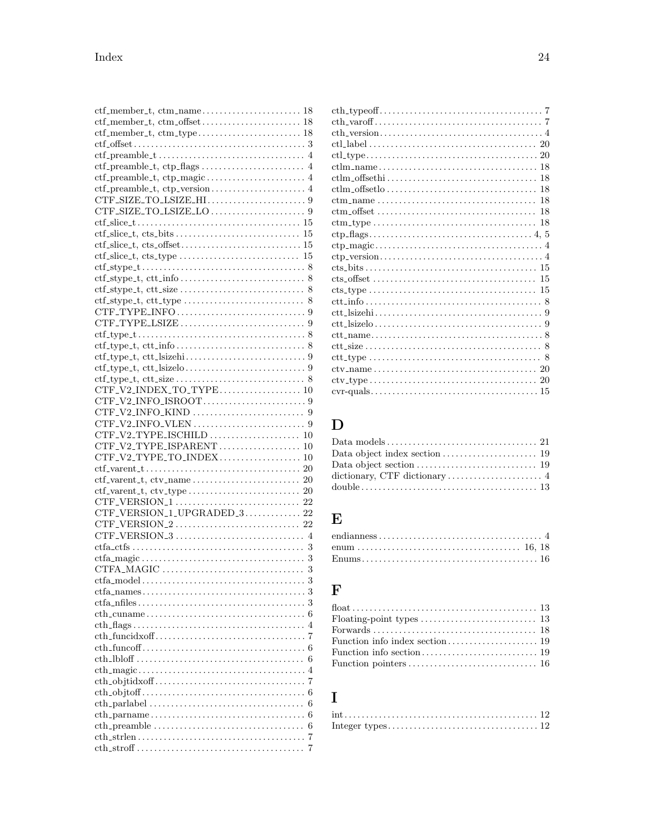| $\text{ctf}_\text{member\_t}, \text{ctm}_\text{name} \ldots \ldots \ldots \ldots \ldots \ldots 18$                    |   |
|-----------------------------------------------------------------------------------------------------------------------|---|
| ctf_member_t, ctm_offset 18                                                                                           |   |
| ctf_member_t, ctm_type 18                                                                                             |   |
|                                                                                                                       |   |
|                                                                                                                       |   |
|                                                                                                                       |   |
|                                                                                                                       |   |
| $\text{ctf-preamble\_t}, \text{ctp\_version} \dots \dots \dots \dots \dots \dots \dots$                               |   |
|                                                                                                                       |   |
|                                                                                                                       |   |
|                                                                                                                       |   |
|                                                                                                                       |   |
|                                                                                                                       |   |
|                                                                                                                       |   |
|                                                                                                                       |   |
|                                                                                                                       |   |
|                                                                                                                       |   |
|                                                                                                                       |   |
|                                                                                                                       |   |
|                                                                                                                       |   |
|                                                                                                                       |   |
| $\text{ctf\_type\_t}, \text{ctt\_info} \dots \dots \dots \dots \dots \dots \dots \dots \dots \dots \dots \dots \dots$ |   |
| $\text{ctf\_type\_t}, \text{ctt\_sizehi} \ldots \ldots \ldots \ldots \ldots \ldots \ldots 9$                          |   |
| $\text{ctf\_type\_t}, \text{ctt\_sizelo} \dots \dots \dots \dots \dots \dots \dots \dots \dots$                       |   |
| $\text{ctf\_type\_t}, \text{ctt\_size} \dots \dots \dots \dots \dots \dots \dots \dots \dots$                         |   |
| CTF_V2_INDEX_TO_TYPE 10                                                                                               |   |
|                                                                                                                       |   |
|                                                                                                                       |   |
|                                                                                                                       |   |
|                                                                                                                       |   |
| CTF_V2_TYPE_ISPARENT 10                                                                                               |   |
| CTF_V2_TYPE_TO_INDEX 10                                                                                               |   |
|                                                                                                                       |   |
| $\text{ctf\_parent\_t}, \text{ctv\_name} \ldots \ldots \ldots \ldots \ldots \ldots \ldots \ldots \ldots$              |   |
|                                                                                                                       |   |
|                                                                                                                       |   |
|                                                                                                                       |   |
| ${\tt CTF\_VERSION\_1\_UPGRADED\_3} \dots \dots \dots \dots \dots \ 22$                                               |   |
|                                                                                                                       |   |
|                                                                                                                       |   |
|                                                                                                                       |   |
|                                                                                                                       |   |
|                                                                                                                       |   |
|                                                                                                                       |   |
| $\text{ctfa\_names.} \dots \dots \dots \dots \dots \dots \dots \dots \dots \dots \dots \dots \dots \dots$             |   |
|                                                                                                                       | 3 |
|                                                                                                                       | 6 |
|                                                                                                                       | 4 |
|                                                                                                                       | 7 |
|                                                                                                                       | 6 |
|                                                                                                                       | 6 |
|                                                                                                                       | 4 |
|                                                                                                                       | 7 |
|                                                                                                                       | 6 |
|                                                                                                                       |   |
|                                                                                                                       | 6 |
|                                                                                                                       | 6 |
|                                                                                                                       | 6 |
|                                                                                                                       | 7 |

| $\text{ctl_type} \ldots \ldots \ldots \ldots \ldots \ldots \ldots \ldots \ldots \ldots \ldots \ldots \ldots 20$    |    |
|--------------------------------------------------------------------------------------------------------------------|----|
| $\text{ctlm_name} \ldots \ldots \ldots \ldots \ldots \ldots \ldots \ldots \ldots \ldots \ldots \ldots 18$          |    |
|                                                                                                                    |    |
|                                                                                                                    |    |
|                                                                                                                    |    |
|                                                                                                                    | 18 |
| $\text{ctm\_type} \ldots \ldots \ldots \ldots \ldots \ldots \ldots \ldots \ldots \ldots$                           | 18 |
|                                                                                                                    |    |
|                                                                                                                    |    |
|                                                                                                                    |    |
| $cts_bits \ldots \ldots \ldots \ldots \ldots \ldots \ldots \ldots \ldots \ldots \ldots \ldots 15$                  |    |
|                                                                                                                    | 15 |
|                                                                                                                    |    |
|                                                                                                                    |    |
| $\text{ctt}\_ \text{sizehi}\_ \ldots \ldots \ldots \ldots \ldots \ldots \ldots \ldots \ldots \ldots \ldots \ldots$ |    |
|                                                                                                                    |    |
| $\text{ctt_name} \dots \dots \dots \dots \dots \dots \dots \dots \dots \dots \dots \dots \dots$                    |    |
| $ctt\_size \ldots \ldots \ldots \ldots \ldots \ldots \ldots \ldots \ldots \ldots \ldots \ldots 8$                  |    |
| $\text{ctt\_type} \ldots \ldots \ldots \ldots \ldots \ldots \ldots \ldots \ldots \ldots \ldots \ldots 8$           |    |
|                                                                                                                    |    |
|                                                                                                                    |    |
|                                                                                                                    |    |
|                                                                                                                    |    |

## $\label{eq:1} \mathbf{D}$

| Data object index section $\dots\dots\dots\dots\dots\dots\dots$ 19 |  |
|--------------------------------------------------------------------|--|
|                                                                    |  |
|                                                                    |  |
|                                                                    |  |

### $\bf{E}$

## $\mathbf{F}$

## $\overline{I}$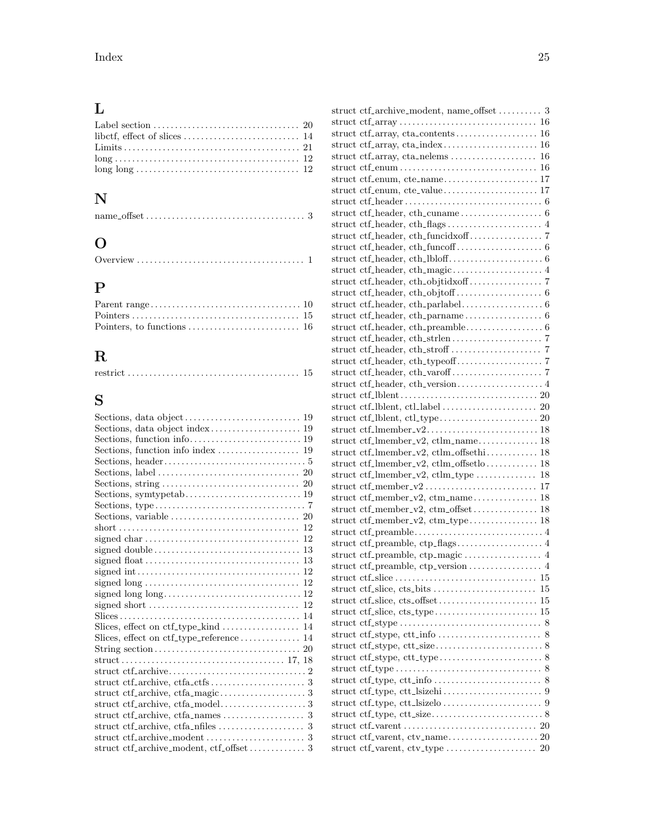## L

## N

|--|--|--|--|

## O

## P

## R

|--|--|

## S

| Slices, effect on ctf_type_reference 14  |
|------------------------------------------|
|                                          |
|                                          |
|                                          |
|                                          |
|                                          |
|                                          |
|                                          |
|                                          |
|                                          |
| struct ctf_archive_modent, ctf_offset  3 |
|                                          |

| struct ctf_archive_modent, name_offset  3 |    |
|-------------------------------------------|----|
|                                           |    |
|                                           |    |
|                                           |    |
|                                           |    |
|                                           |    |
| struct ctf_enum, cte_name 17              |    |
|                                           |    |
|                                           |    |
|                                           |    |
|                                           |    |
|                                           |    |
|                                           |    |
|                                           |    |
|                                           |    |
|                                           |    |
|                                           |    |
|                                           |    |
|                                           |    |
|                                           |    |
|                                           |    |
|                                           |    |
|                                           |    |
|                                           |    |
|                                           |    |
|                                           |    |
|                                           |    |
|                                           |    |
| struct ctf_lmember_v2 18                  |    |
| struct ctf_lmember_v2, ctlm_name 18       |    |
| struct ctf_lmember_v2, ctlm_offsethi 18   |    |
| struct ctf_lmember_v2, ctlm_offsetlo 18   |    |
|                                           |    |
|                                           |    |
| struct ctf_member_v2, ctm_name 18         |    |
| struct ctf_member_v2, ctm_offset 18       |    |
|                                           |    |
|                                           |    |
|                                           |    |
|                                           |    |
|                                           |    |
|                                           |    |
| struct ctf_slice, cts_bits                | 15 |
|                                           |    |
|                                           |    |
|                                           |    |
|                                           |    |
|                                           |    |
|                                           |    |
|                                           |    |
|                                           |    |
|                                           |    |
|                                           |    |
|                                           |    |
|                                           |    |
|                                           |    |
|                                           |    |